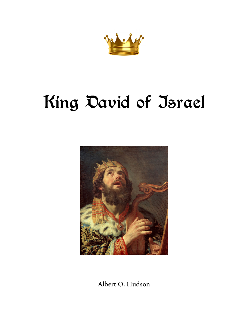

# King David of Israel



Albert O. Hudson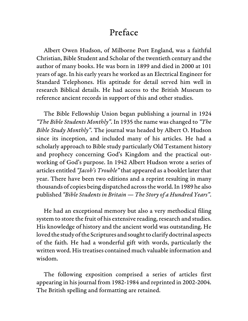### Preface

Albert Owen Hudson, of Milborne Port England, was a faithful Christian, Bible Student and Scholar of the twentieth century and the author of many books. He was born in 1899 and died in 2000 at 101 years of age. In his early years he worked as an Electrical Engineer for Standard Telephones. His aptitude for detail served him well in research Biblical details. He had access to the British Museum to reference ancient records in support of this and other studies.

The Bible Fellowship Union began publishing a journal in 1924 "The Bible Students Monthly". In 1935 the name was changed to "The Bible Study Monthly". The journal was headed by Albert O. Hudson since its inception, and included many of his articles. He had a scholarly approach to Bible study particularly Old Testament history and prophecy concerning God's Kingdom and the practical outworking of God's purpose. In 1942 Albert Hudson wrote a series of articles entitled "Jacob's Trouble" that appeared as a booklet later that year. There have been two editions and a reprint resulting in many thousands of copies being dispatched across the world. In 1989 he also published "Bible Students in Britain — The Story of a Hundred Years".

He had an exceptional memory but also a very methodical filing system to store the fruit of his extensive reading, research and studies. His knowledge of history and the ancient world was outstanding. He loved the study of the Scriptures and sought to clarify doctrinal aspects of the faith. He had a wonderful gift with words, particularly the written word. His treatises contained much valuable information and wisdom.

The following exposition comprised a series of articles first appearing in his journal from 1982-1984 and reprinted in 2002-2004. The British spelling and formatting are retained.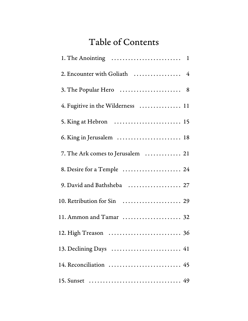## Table of Contents

| 2. Encounter with Goliath  4      |  |
|-----------------------------------|--|
| 3. The Popular Hero  8            |  |
| 4. Fugitive in the Wilderness  11 |  |
| 5. King at Hebron  15             |  |
| 6. King in Jerusalem  18          |  |
| 7. The Ark comes to Jerusalem  21 |  |
| 8. Desire for a Temple  24        |  |
| 9. David and Bathsheba  27        |  |
| 10. Retribution for Sin  29       |  |
| 11. Ammon and Tamar  32           |  |
| 12. High Treason  36              |  |
| 13. Declining Days  41            |  |
| 14. Reconciliation  45            |  |
|                                   |  |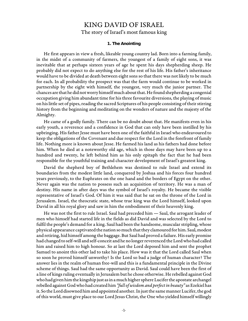## KING DAVID OF ISRAEL

The story of Israel's most famous king

#### **1. The Anointing**

He first appears in view a fresh, likeable young country lad. Born into a farming family, in the midst of a community of farmers, the youngest of a family of eight sons, it was inevitable that at perhaps sixteen years of age he spent his days shepherding sheep. He probably did not expect to do anything else for the rest of his life. His father's inheritance would have to be divided at death between eight sons so that there was not likely to be much for each. In all probability the prospect was that the farm would continue to be worked in partnership by the eight with himself, the youngest, very much the junior partner. The chances are that he did not worry himself much about that. He found shepherding a congenial occupation giving him abundant time for his three favourite diversions, the playing of music on his little set of pipes, reading the sacred Scriptures of his people consisting of their stirring history from the beginning and meditating on the wonders of nature and the majesty of the Almighty.

He came of a godly family. There can be no doubt about that. He manifests even in his early youth, a reverence and a confidence in God that can only have been instilled by his upbringing. His father Jesse must have been one of the faithful in Israel who endeavoured to keep the obligations of the Covenant and due respect for the Lord in the forefront of family life. Nothing more is known about Jesse. He farmed his land as his fathers had done before him. When he died at a noteworthy old age, which in those days may have been up to a hundred and twenty, he left behind him as his only epitaph the fact that he had been responsible for the youthful training and character development of Israel's greatest king.

David the shepherd boy of Bethlehem was destined to rule Israel and extend its boundaries from the modest little land, conquered by Joshua and his forces four hundred years previously, to the Euphrates on the one hand and the borders of Egypt on the other. Never again was the nation to possess such an acquisition of territory. He was a man of destiny. His name in after days was the symbol of Israel's royalty. He became the visible representative of Israel's God. Of him it was said that he sat on the throne of the Lord in Jerusalem. Israel, the theocratic state, whose true king was the Lord himself, looked upon David in all his royal glory and saw in him the embodiment of their heavenly king.

He was not the first to rule Israel. Saul had preceded him — Saul, the arrogant leader of men who himself had started life in the fields as did David and was selected by the Lord to fulfil the people's demand for a king. Saul had been the handsome, muscular stripling, whose physical appearance captivated the nation so much that they clamoured for him. Saul, modest and retiring, hid himself among the baggage. But Saul had proved a failure. His early promise had changed to self-will and self-conceit and he no longer reverenced the Lord who had called him and raised him to high honour. So at last the Lord deposed him and sent the prophet Samuel to anoint this other lad to take his place. How was it that the Lord called Saul when so soon he proved himself unworthy? Is the Lord so bad a judge of human character? The answer lies in the realm of human free-will and this is a fundamental principle in the Divine scheme of things. Saul had the same opportunity as David. Saul could have been the first of a line of kings ruling eventually in Jerusalem but he chose otherwise. He rebelled against God who had given him the kingship just as in a much higher sphere Lucifer the apostate archangel rebelled against God who had created him "full of wisdom and perfect in beauty" as Ezekiel has it. So the Lord disowned him and appointed another. In just the same manner Lucifer, the god of this world, must give place to our Lord Jesus Christ, the One who yielded himself willingly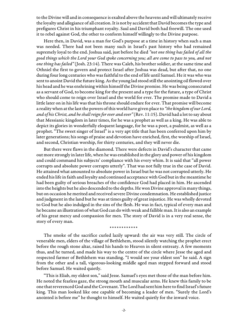to the Divine will and in consequence is exalted above the heavens and will ultimately receive the loyalty and allegiance of all creation. It is not by accident that David becomes the type and prefigures Christ in his triumphant royalty. Saul and David both had freewill. The one used it to rebel against God, the other to conform himself willingly to the Divine purpose.

Here then, in David, was a man for God's purpose at a time in history when such a man was needed. There had not been many such in Israel's past history who had remained supremely loyal to the end. Joshua said, just before he died "not one thing has failed of all the good things which the Lord your God spoke concerning you; all are come to pass to you, and not one thing has failed" (Josh. 23:14). There was Caleb, his brother soldier, at the same time and Othniel the first to govern and protect Israel after Joshua was dead, but after that, no one during four long centuries who was faithful to the end of life until Samuel. He it was who was sent to anoint David the future king. As the young lad stood still the anointing oil flowed over his head and he was enshrining within himself the Divine promise. He was being consecrated as a servant of God, to become king for the present and a type for the future, a type of Christ who should come to reign over Israel and the world for ever. The promise made to David a little later on in his life was that his throne should endure for ever. That promise will become a reality when at the last the powers of this world have given place to "the kingdom of our Lord, and of his Christ, and he shall reign for ever and ever" (Rev. 11:15). David had a lot to say about that Messianic kingdom in later times, for he was a prophet as well as a king. He was able to depict its glories in wonderfully eloquent language, for he was a poet, a psalmist, as well as a prophet. "The sweet singer of Israel" is a very apt title that has been conferred upon him by later generations; his songs of praise and devotion have enriched, first, the worship of Israel, and second, Christian worship, for thirty centuries, and they will never die.

But there were flaws in the diamond. There were defects in David's character that came out more strongly in later life, when he was established in the glory and power of his kingdom and could command his subjects' compliance with his every whim. It is said that "all power corrupts and absolute power corrupts utterly". That was not fully true in the case of David. He attained what amounted to absolute power in Israel but he was not corrupted utterly. He ended his life in faith and loyalty and continued acceptance with God but in the meantime he had been guilty of serious breaches of the confidence God had placed in him. He ascended into the heights but he also descended to the depths. He won Divine approval in many things, but on occasion he merited and received severe Divine condemnation. He established justice and judgment in the land but he was at times guilty of great injustice. He was wholly devoted to God but he also indulged in the sins of the flesh. He was in fact, typical of every man and he became an illustration of what God can do with weak and fallible man. It is also an example of his great mercy and compassion for men. The story of David is in a very real sense, the story of every man.

#### \*\*\*\*\*\*\*\*\*\*\*\*

The smoke of the sacrifice curled lazily upward: the air was very still. The circle of venerable men, elders of the village of Bethlehem, stood silently watching the prophet erect before the rough stone altar, raised his hands to Heaven in silent entreaty. A few moments thus, and he turned, and made his way to the centre of the circle where Jesse the aged and respected farmer of Bethlehem was standing. "I would see your eldest son" he said. A sign from the other and a tall, vigorous-looking middle aged man stepped forward and stood before Samuel. He waited quietly.

"This is Eliab, my eldest son," said Jesse. Samuel's eyes met those of the man before him. He noted the fearless gaze, the strong mouth and muscular arms. He knew this family to be one that reverenced God and the Covenant. The Lord had sent him here to find Israel's future king. This man looked like one capable of becoming a leader of men. "Surely the Lord's anointed is before me" he thought to himself. He waited quietly for the inward voice.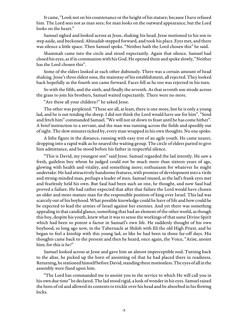It came, "Look not on his countenance or the height of his stature; because I have refused him. The Lord sees not as man sees; for man looks on the outward appearance, but the Lord looks on the heart."

Samuel sighed and looked across at Jesse, shaking his head. Jesse motioned to his son to step aside, and beckoned. Abinadab stepped forward, and took his place. Eyes met, and there was silence a little space. Then Samuel spoke. "Neither hath the Lord chosen this" he said.

Shammah came into the circle and stood expectantly. Again that silence. Samuel had closed his eyes, as if in communion with his God. He opened them and spoke slowly, "Neither has the Lord chosen this".

Some of the elders looked at each other dubiously. There was a certain amount of head shaking. Jesse's three eldest sons, the mainstay of his establishment, all rejected. They looked back hopefully as the fourth son came forward. Faces fell as he too was rejected in his turn.

So with the fifth, and the sixth, and finally the seventh. As that seventh son strode across the grass to join his brothers, Samuel waited expectantly. There were no more.

"Are these all your children?" he asked Jesse.

The other was perplexed. "These are all, at least, there is one more, but he is only a young lad, and he is out tending the sheep. I did not think the Lord would have use for him". "Send and fetch him" commanded Samuel. "We will not sit down to feast until he has come hither". A brief instruction to a servant, and the man was running across the fields and speedily out of sight. The slow minutes ticked by, every man wrapped in his own thoughts. No one spoke.

A lithe figure in the distance, running with easy trot of an agile youth. He came nearer, dropping into a rapid walk as he neared the waiting group. The circle of elders parted to give him admittance, and he stood before his father in respectful silence.

"This is David, my youngest son" said Jesse. Samuel regarded the lad intently. He saw a fresh, guileless boy whom he judged could not be much more than sixteen years of age, glowing with health and vitality, and something more; enthusiasm for whatever he might undertake. He had attractively handsome features, with promise of development into a virile and strong-minded man, perhaps a leader of men. Samuel mused, as the lad's frank eyes met and fearlessly held his own. But Saul had been such an one, he thought, and now Saul had proved a failure. He had rather expected that after that failure the Lord would have chosen an older and more mature man for the responsible position of king over Israel. This lad was scarcely out of his boyhood. What possible knowledge could he have of life and how could he be expected to lead the armies of Israel against her enemies. And yet there was something appealing in that candid glance, something that had an element of the other world, as though this boy, despite his youth, knew what it was to sense the workings of that same Divine Spirit which had been so potent a factor in Samuel's own life. He suddenly thought of his own boyhood, so long ago now, in the Tabernacle at Shiloh with Eli the old High Priest, and he began to feel a kinship with this young lad, so like he had been in those far-off days. His thoughts came back to the present and then he heard, once again, the Voice, "Arise, anoint him; for this is he!"

Samuel looked across at Jesse and gave him an almost imperceptible nod. Turning back to the altar, he picked up the horn of anointing oil that he had placed there in readiness. Returning, he stationed himself before David, standing there motionless. The eyes of all in the assembly were fixed upon him.

"The Lord has commanded me to anoint you to the service to which He will call you in his own due time" he declared. The lad stood rigid, a look of wonder in his eyes. Samuel raised the horn of oil and allowed its contents to trickle over his head and be absorbed in his flowing locks.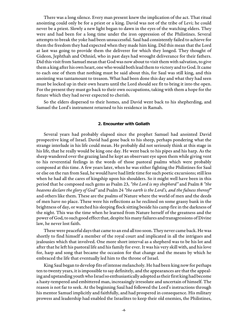There was a long silence. Every man present knew the implication of the act. That ritual anointing could only be for a priest or a king. David was not of the tribe of Levi; he could never be a priest. Slowly a new light began to dawn in the eyes of the watching elders. They were and had been for a long time under the iron oppression of the Philistines. Several attempts to break the yoke had been unsuccessful. Saul had consistently failed to achieve for them the freedom they had expected when they made him king. Did this mean that the Lord at last was going to provide them the deliverer for which they longed. They thought of Gideon, Jephthah and Othniel, who in past days had wrought deliverance for their fathers. Did this visit from Samuel mean that God was now about to visit them with salvation, to give them a king after his own heart, one who would both lead them to victory and to God. It came to each one of them that nothing must be said about this, for Saul was still king, and this anointing was tantamount to treason. What had been done this day and what they had seen must be locked up in their own hearts until the Lord should see fit to bring it into the open. For the present they must go back to their own occupations, taking with them a hope for the future which they had never expected to cherish.

So the elders dispersed to their homes, and David went back to his shepherding, and Samuel the Lord's instrument returned to his residence in Ramah.

#### **2. Encounter with Goliath**

Several years had probably elapsed since the prophet Samuel had anointed David prospective king of Israel. David had gone back to his sheep, perhaps pondering what the strange interlude in his life could mean. He probably did not seriously think at this stage in his life, that he really would be king one day. He went back to his pipes and his harp. As the sheep wandered over the grazing land he kept an observant eye upon them while giving vent to his reverential feelings in the words of those pastoral psalms which were probably composed at this time. A few years later, when he was either fighting the Philistines for Saul or else on the run from Saul, he would have had little time for such poetic excursions; still less when he had all the cares of kingship upon his shoulders. So it might well have been in this period that he composed such gems as Psalm 23, "the Lord is my shepherd" and Psalm 8 "the heavens declare the glory of God" and Psalm 24 "the earth is the Lord's, and the fulness thereof" and others like them. These are the psalms of Nature where the world of men and the deeds of men have no place. These were his reflections as he reclined on some grassy bank in the brightness of day, or watched his sleeping flock sitting beside his camp fire in the darkness of the night. This was the time when he learned from Nature herself of the greatness and the power of God, to such good effect that, despite his many failures and transgressions of Divine law, he never lost faith.

These were peaceful days that came to an end all too soon. They never came back. He was shortly to find himself a member of the royal court and implicated in all the intrigues and jealousies which that involved. One more short interval as a shepherd was to be his lot and after that he left his pastoral life and his family for ever. It was his very skill with, and his love for, harp and song that became the occasion for that change and the means by which he embraced the life that eventually led him to the throne of Israel.

King Saul began to develop fits of intense melancholy. He had been king now for perhaps ten to twenty years, it is impossible to say definitely, and the appearances are that the appealing and upstanding youth who Israel so enthusiastically adopted as their first king had become a hasty-tempered and embittered man, increasingly irresolute and uncertain of himself. The reason is not far to seek. At the beginning Saul had followed the Lord's instructions through his mentor Samuel implicitly and faithfully, and had prospered in consequence. His military prowess and leadership had enabled the Israelites to keep their old enemies, the Philistines,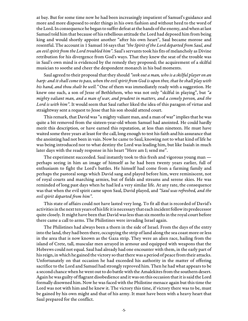at bay. But for some time now he had been increasingly impatient of Samuel's guidance and more and more disposed to order things in his own fashion and without heed to the word of the Lord. In consequence he began to suffer defeat at the hands of the enemy, and when at last Samuel told him that because of his rebellious attitude the Lord had deposed him from being king and would shortly appoint another "after his own heart", Saul became morose and resentful. The account in 1 Samuel 16 says that "the Spirit of the Lord departed from Saul, and an evil spirit from the Lord troubled him". Saul's servants took his fits of melancholy as Divine retribution for his divergence from God's ways. That they knew the seat of the trouble was in Saul's own mind is evidenced by the remedy they proposed; the acquirement of a skilful musician to soothe and cheer the despondent monarch in his bad moments.

Saul agreed to their proposal that they should "seek out a man, who is a skilful player on an harp: and it shall come to pass, when the evil spirit from God is upon thee, that he shall play with his hand, and thou shalt be well." One of them was immediately ready with a suggestion. He knew one such, a son of Jesse of Bethlehem, who was not only "skilful in playing", but "a mighty valiant man, and a man of war, and prudent in matters, and a comely person, and the Lord is with him". It would seem that Saul rather liked the idea of this paragon of virtue and straightway sent a request to Jesse that his son should attend court.

This remark, that David was "a mighty valiant man, and a man of war" implies that he was quite a bit removed from the sixteen-year-old whom Samuel had anointed. He could hardly merit this description, or have earned this reputation, at less than nineteen. He must have waited some three years at least for the call, long enough to test his faith and his assurance that the anointing had not been in vain. Now he came to Saul, knowing not to what kind of life he was being introduced nor to what destiny the Lord was leading him, but like Isaiah in much later days with the ready response in his heart "Here am I; send me".

The experiment succeeded. Saul instantly took to this fresh and vigorous young man perhaps seeing in him an image of himself as he had been twenty years earlier, full of enthusiasm to fight the Lord's battles. He himself had come from a farming family and perhaps the pastoral songs which David sang and played before him, were reminiscent, not of royal courts and marching armies, but of fields and streams and serene skies. He was reminded of long past days when he had led a very similar life. At any rate, the consequence was that when the evil spirit came upon Saul, David played, and "Saul was refreshed, and the evil spirit departed from him".

This state of affairs could not have lasted very long. To fit all that is recorded of David's activities in the next ten years of his life it is necessary that each incident follow its predecessor quite closely. It might have been that David was less than six months in the royal court before there came a call to arms. The Philistines were invading Israel again.

The Philistines had always been a thorn in the side of Israel. From the days of the entry into the land, they had been there, occupying the strip of land along the sea coast more or less in the area that is now known as the Gaza strip. They were an alien race, hailing from the island of Crete, tall, muscular men arrayed in armour and equipped with weapons that the Hebrews could not equal. Saul had already had one encounter with them, in the early part of his reign, in which he gained the victory so that there was a period of peace from their attacks. Unfortunately on that occasion he had exceeded his authority in the matter of offering sacrifice to the Lord and Samuel had strongly reproved him. Then he had what appears to be a second chance when he went out to do battle with the Amalekites from the southern desert. Again he was guilty of flagrant disobedience and it was on this occasion that it is said the Lord formally disowned him. Now he was faced with the Philistine menace again but this time the Lord was not with him and he knew it. The victory this time, if victory there was to be, must be gained by his own might and that of his army. It must have been with a heavy heart that Saul prepared for the conflict.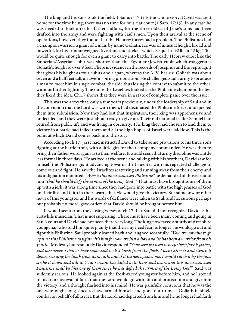The king and his sons took the field. 1 Samuel 17 tells the whole story. David was sent home for the time being; there was no time for music at court (1 Sam. 17:15). In any case he was needed to look after his father's affairs, for the three oldest of Jesse's sons had been drafted into the army and were fighting with Saul's men. Upon their arrival at the scene of operations, however, they found that the Hebrew forces had a problem. The Philistines had a champion warrior, a giant of a man, by name Goliath. He was of unusual height, broad and powerful, for his armour weighed five thousand shekels which is equal to 92 lb. or 42 kg. This would be quite enough for even a giant to carry into battle. The early Hebrew cubit like the Sumerian/Assyrian cubit was shorter than the Egyptian/Jewish cubit which exaggerates Goliath's height to over 9 feet. There is evidence in the records of Josephus and the Septuagint that gives his height as four cubits and a span, whereas the A. V. has six. Goliath was about seven and a half feet tall, an awe-inspiring proposition. He challenged Saul's army to produce a man to meet him in single combat, the side thus losing the contest to submit to the other, without further fighting. The more the Israelites looked at the Philistine champion the less they liked the idea. Ch.17 shows that they were in a state of complete panic over the issue.

This was the army that, only a few years previously, under the leadership of Saul and in the conviction that the Lord was with them, had decimated the Philistine forces and quelled them into submission. Now they had lost that inspiration, their king was apprehensive and undecided, and they were just about ready to give up. Their old national leader Samuel had retired from public life and was living in obscurity. The king they had chosen to lead them to victory in a battle had failed them and all the high hopes of Israel were laid low. This is the point at which David comes back into the story.

According to ch.17, Jesse had instructed David to take some provisions to his three sons fighting at the battle front, with a little gift for their company commander. He was then to bring their father word again as to their welfare. It would seem that army discipline was a little less formal in those days. He arrived at the scene and talking with his brothers, David saw for himself the Philistine giant advancing towards the Israelites with his repeated challenge to come out and fight. He saw the Israelites scattering and running away from their enemy and his indignation mounted. "Who is this uncircumcised Philistine" he demanded of those around him "that he should defy the armies of the living God?" That must have brought some of them up with a jerk; it was a long time since they had gone into battle with the high praises of God on their lips and faith in their hearts that He would give the victory. But somehow or other news of this youngster and his words of defiance were taken to Saul, and he, curious perhaps but probably no more, gave orders that David should be brought before him.

It would seem from the closing verses of ch.17 that Saul did not recognize David as his erstwhile musician. That is not surprising. There must have been many coming and going in Saul's court and David had not been there very long. The king now faced a sturdy and resolute young man who told him quite plainly that the army need fear no longer: he would go out and fight this Philistine. Saul probably leaned back and laughed scornfully. "You are not able to go against this Philistine to fight with him for you are just a *boy* and he has been a warrior from his youth." Modestly but resolutely David responded "Your servant used to keep sheep for his father, and whenever a lion or bear came and took a lamb from the flock, I went after it and struck it down, rescuing the lamb from its mouth; and if it turned against me, I would catch it by the jaw, strike it down and kill it. Your servant has killed both lions and bears and this uncircumcised Philistine shall be like one of them since he has defied the armies of the living God". Saul was suddenly serious. He looked again at the fresh-faced youngster before him, and he listened to his frank avowal of faith that the Lord would go with him and protect him and give him the victory, and a thought flashed into his mind. He was painfully conscious that he was the one who ought long since to have armed himself and gone out to meet Goliath in single combat on behalf of all Israel. But the Lord had departed from him and he no longer had faith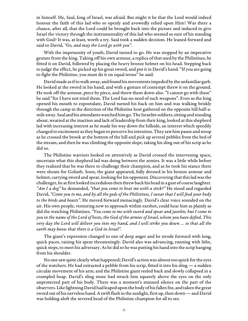in himself. He, Saul, king of Israel, was afraid. But might it be that the Lord would indeed honour the faith of this lad who so openly and avowedly relied upon Him? Was there a chance, after all, that the Lord could be brought back into the picture and induced to give Israel the victory through the instrumentality of this lad who seemed so sure of his standing with God? It was, at least, worth a try. Saul took a sudden decision. He leaned forward and said to David, "Go, and may the Lord go with you".

With the impetuosity of youth, David turned to go. He was stopped by an imperative gesture from the king. Taking off his own armour, a replica of that used by the Philistines, he fitted it on David, followed by placing the heavy bronze helmet on his head. Stepping back to judge the effect, he picked up his great sword, and put it in David's hand. "If you are going to fight the Philistine, you must do it on equal terms" he said.

David made as if to walk away, and found his movements impeded by the unfamiliar garb. He looked at the sword in his hand, and with a gesture of contempt threw it on the ground. He took off the armour, piece by piece, and threw them down also. "I cannot go with these" he said "for I have not tried them. The Lord has no need of such weapons". Even as the king opened his mouth to expostulate, David turned his back on him and was walking briskly through the camp in the direction of the Philistine host gathered on the opposite hill half-amile away. Saul and his attendants watched him go. The Israelite soldiers, sitting and standing about, wearied at the inaction and lack of leadership from their king, looked at this shepherd lad with increasing interest as he made his way down the hillside, an interest which speedily changed to excitement as they began to perceive his intention. They saw him pause and stoop as he crossed the brook at the bottom of the hill and pick up several pebbles from the bed of the stream, and then he was climbing the opposite slope, taking his sling out of his scrip as he did so.

The Philistine warriors looked on attentively as David crossed the intervening space, uncertain what this shepherd lad was doing between the armies. It was a little while before they realized that he was there to challenge their champion, and as he took his stance there were shouts for Goliath. Soon, the giant appeared, fully dressed in his bronze armour and helmet, carrying sword and spear, looking for his opponent. Discovering that this lad was the challenger, he at first looked incredulous then threw back his head in a gust of coarse laughter. "Am I a dog" he demanded, "that you come to beat me with a stick?" He stood and regarded David, "Come you to me, and by all the gods of the Philistines, I swear that I will feed your body to the birds and beasts". He moved forward menacingly. David's clear voice sounded on the air. His own people, venturing now to approach within earshot, could hear him as plainly as did the watching Philistines. "You come to me with sword and spear and javelin; but I come to you in the name of the Lord of hosts, the God of the armies of Israel, whom you have defied. This very day the Lord will deliver you into my hand, and I will strike you down … so that all the earth may know that there is a God in Israel".

The giant's expression changed to one of deep anger and he strode forward with long, quick paces, raising his spear threateningly. David also was advancing, running with lithe, quick steps, to meet his adversary. As he did so he was putting his hand into the scrip hanging from his shoulder.

No one saw quite clearly what happened; David's action was almost too quick for the eyes of the watchers. He had extracted a pebble from his scrip, fitted it into his sling — a sudden circular movement of his arm; and the Philistine giant reeled back and slowly collapsed in a crumpled heap. David's sling stone had struck him squarely above the eyes on the only unprotected part of his body. There was a moment's stunned silence on the part of the observers. Like lightning David had leaped upon the body of his fallen foe, and taken the great sword out of his nerveless hand. A swift flash in the sunlight, first up, then down — and David was holding aloft the severed head of the Philistine champion for all to see.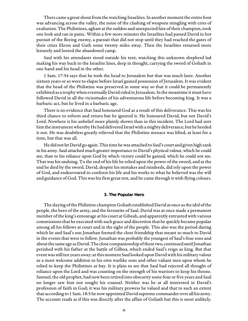There came a great shout from the watching Israelites. In another moment the entire host was advancing across the valley, the noise of the clashing of weapons mingling with cries of exultation. The Philistines, aghast at the sudden and unexpected fate of their champion, took one look and ran in panic. Within a few more minutes the Israelites had passed David in hot pursuit of the fleeing enemy, a pursuit that did not stop until they had reached the gates of their cities Ekron and Gath some twenty miles away. Then the Israelites returned more leisurely and looted the abandoned camp.

Saul with his attendants stood outside his tent, watching this unknown shepherd lad making his way back to the Israelite lines, deep in thought, carrying the sword of Goliath in one hand and his head in the other.

1 Sam. 17:54 says that he took the head to Jerusalem but that was much later. Another sixteen years or so were to elapse before Israel gained possession of Jerusalem. It was evident that the head of the Philistine was preserved in some way so that it could be permanently exhibited as a trophy when eventually David ruled in Jerusalem. In the meantime it must have followed David in all the vicissitudes of his adventurous life before becoming king. It was a barbaric act, but he lived in a barbaric age.

There is no evidence that Saul honoured God as a result of this deliverance. This was his third chance to reform and return but he ignored it. He honoured David, but not David's Lord. Nowhere is his unbelief more plainly shown than in this incident. The Lord had sent him the instrument whereby He had delivered Israel with a mighty deliverance, but he heeded it not. He was doubtless greatly relieved that the Philistine menace was lifted, at least for a time, but that was all.

He did not let David go again. This time he was attached to Saul's court and given high rank in his army. Saul attached much greater importance to David's physical valour, which he could see, than to his reliance upon God by which victory could be gained, which he could not see. That was his undoing. To the end of his life he relied upon the power of the sword, and at the end he died by the sword. David, despite his mistakes and misdeeds, did rely upon the power of God, and endeavoured to conform his life and his works to what he believed was the will and guidance of God. This was his first great test, and he came through it with flying colours.

#### **3. The Popular Hero**

The slaying of the Philistine champion Goliath established David at once as the idol of the people, the hero of the army, and the favourite of Saul. David was at once made a permanent member of the king's entourage at his court at Gibeah, and apparently entrusted with various commissions that he executed with such grace and discretion that he quickly became popular among all his fellows at court and in the sight of the people. This also was the period during which he and Saul's son Jonathan formed the close friendship that meant so much to David in the events that were to follow. Jonathan was probably the youngest of Saul's four sons and about the same age as David. The close companionship of these two, continued until Jonathan perished with his father at the battle of Gilboa, which ended Saul's reign as king. But that event was still ten years away; at this moment Saul looked upon David with his military valour as a most welcome addition to his own warlike sons and other valiant men upon whom he relied to keep the Philistines at bay. It is plain to see that Saul had rejected all thought of reliance upon the Lord and was counting on the strength of his warriors to keep his throne. Samuel, the old prophet, had now been retired into obscurity some four or five years and Saul no longer saw him nor sought his counsel. Neither was he at all interested in David's profession of faith in God; it was his military prowess he valued and that to such an extent that according to 1 Sam. 18:5 he now appointed David supreme commander over all his army. The account reads as if this was directly after the affair of Goliath but this is most unlikely.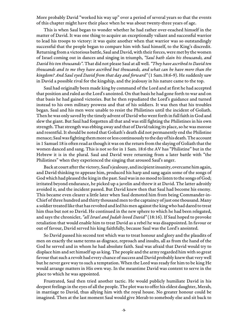More probably David "worked his way up" over a period of several years so that the events of this chapter might have their place when he was about twenty-three years of age.

This is when Saul began to wonder whether he had rather over-reached himself in the matter of David. It was one thing to acquire an exceptionally valiant and successful warrior to lead his troops to victory: it was quite another when that warrior was so outstandingly successful that the people began to compare him with Saul himself, to the King's discredit. Returning from a victorious battle, Saul and David, with their forces, were met by the women of Israel coming out in dances and singing in triumph, "Saul bath slain his thousands, and David his ten thousands". That did not please Saul at all well. "They have ascribed to David ten thousands and to me they have ascribed but thousands, and what can he have more than the kingdom? And Saul eyed David from that day and forward" (1 Sam.18:6-9). He suddenly saw in David a possible rival for the kingship, and the jealousy in his nature came to the top.

Saul had originally been made king by command of the Lord and at first he had accepted that position and ruled as the Lord's anointed. On that basis he had gone forth to war and on that basis he had gained victories. But he then repudiated the Lord's guidance and turned instead to his own military prowess and that of his soldiers. It was then that his troubles began. Saul and his men were unable to resist the Philistines until the incident of Goliath. Then he was only saved by the timely advent of David who went forth in full faith in God and slew the giant. But Saul had forgotten all that and was still fighting the Philistines in his own strength. That strength was ebbing away and that of David taking its place, so he was morose and resentful. It should be noted that Goliath's death did not permanently end the Philistine menace; Saul was fighting them more or less continuously to the day of his death. The account in 1 Samuel 18 is often read as though it was on the return from the slaying of Goliath that the women danced and sang. This is not so for in 1 Sam. 18:6 the AV has "Philistine" but in the Hebrew it is in the plural. Saul and David were returning from a later battle with "the Philistines" when they experienced the singing that aroused Saul's anger.

Back at court after the victory, Saul's jealousy, and incipient insanity, overcame him again, and David thinking to appease him, produced his harp and sang again some of the songs of God which had pleased the king in the past. Saul was in no mood to listen to the songs of God; irritated beyond endurance, he picked up a javelin and threw it at David. The latter adroitly avoided it, and the incident passed. But David knew then that Saul had become his enemy. This became even clearer a little later when Saul demoted him from being Commander-in-Chief of three hundred and thirty thousand men to the captaincy of just one thousand. Many a soldier treated like that has revolted and led his men against the king who had dared to treat him thus but not so David. He continued in the new sphere to which he had been relegated, and says the chronicler, "all Israel and Judah loved David" (18:16). If Saul hoped to provoke retaliation that would enable him to treat David as a rebel he was disappointed. In favour or out of favour, David served his king faithfully, because Saul was the Lord's anointed.

So David passed his second test which was to treat honour and glory and the plaudits of men on exactly the same terms as disgrace, reproach and insults, all as from the hand of the God he served and in whom he had absolute faith. Saul was afraid that David would try to displace him and set himself up as king. The people and the army regarded him with so great favour that such a revolt had every chance of success and David probably knew that very well but he never gave way to such a temptation. When the Lord was ready for him to be king He would arrange matters in His own way. In the meantime David was content to serve in the place to which he was appointed.

Frustrated, Saul then tried another tactic. He would publicly humiliate David in his deepest feelings in the eyes of all the people. The plot was to offer his eldest daughter, Merab, in marriage to David, thus allying him with the royal house. No greater honour could be imagined. Then at the last moment Saul would give Merab to somebody else and sit back to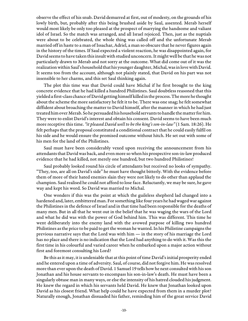observe the effect of his snub. David demurred at first, out of modesty, on the grounds of his lowly birth, but, probably after this being brushed aside by Saul, assented. Merab herself would most likely be only too pleased at the prospect of marrying the handsome and valiant idol of Israel. So the match was arranged, and all Israel rejoiced. Then, just as the nuptials were about to be celebrated, the whole thing was called off and the unfortunate Merab married off in haste to a man of Issachar, Adriel, a man so obscure that he never figures again in the history of the times. If Saul expected a violent reaction, he was disappointed again, for David seems to have taken this insult with studied unconcern. It might well be that he was not particularly drawn to Merab and not sorry at the outcome. What did come out of it was the realization within Saul's household that his younger daughter, Michal, was in love with David. It seems too from the account, although not plainly stated, that David on his part was not insensible to her charms, and this set Saul thinking again.

The plot this time was that David could have Michal if he first brought to the king concrete evidence that he had killed a hundred Philistines. Saul doubtless reasoned that this yielded a first-class chance of David getting himself killed in the process. The more he thought about the scheme the more satisfactory he felt it to be. There was one snag; he felt somewhat diffident about broaching the matter to David himself, after the manner in which he had just treated him over Merab. So he persuaded his household servants to handle the matter for him. They were to enlist David's interest and obtain his consent. David seems to have been much more receptive this time. "it pleased David well to be the king's son-in-law" (1 Sam. 18:26). He felt perhaps that the proposal constituted a conditional contract that he could easily fulfil on his side and he would ensure the promised outcome without hitch. He set out with some of his men for the land of the Philistines.

Saul must have been considerably vexed upon receiving the announcement from his attendants that David was back, and even more so when his prospective son-in-law produced evidence that he had killed, not merely one hundred, but two hundred Philistines!

Saul probably looked round his circle of attendants but received no looks of sympathy. "They, too, are all on David's side" he must have thought bitterly. With the evidence before them of more of their hated enemies slain they were not likely to do other than applaud the champion. Saul realised he could not afford to lose face. Reluctantly, we may be sure, he gave way and kept his word. So David was married to Michal.

One wonders if this was the point at which the guileless shepherd lad changed into a hardened and, later, embittered man. For something like four years he had waged war against the Philistines in the defence of Israel and in that time had been responsible for the deaths of many men. But in all that he went out in the belief that he was waging the wars of the Lord and what he did was with the power of God behind him. This was different. This time he went deliberately into the enemy land with the avowed purpose of killing two hundred Philistines as the price to be paid to get the woman he wanted. In his Philistine campaigns the previous narrative says that the Lord was with him — in the story of his marriage the Lord has no place and there is no indication that the Lord had anything to do with it. Was this the first time in his colourful and varied career when he embarked upon a major action without first and foremost consulting his Lord?

Be this as it may, it is undeniable that at this point of time David's initial prosperity ended and he entered upon a time of adversity. Saul, of course, did not forgive him. He was resolved more than ever upon the death of David. 1 Samuel 19 tells how he next consulted with his son Jonathan and his house servants to encompass his son-in-law's death. He must have been a singularly obtuse man in many ways, or else the intensity of his hatred clouded his judgment. He knew the regard in which his servants held David. He knew that Jonathan looked upon David as his closest friend. What help could he have expected from them in a murder plot? Naturally enough, Jonathan dissuaded his father, reminding him of the great service David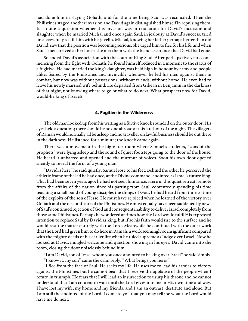had done him in slaying Goliath, and for the time being Saul was reconciled. Then the Philistines staged another invasion and David again distinguished himself in repulsing them. It is quite a question whether this invasion was in retaliation for David's incursion and slaughter when he married Michal and once again Saul, in jealousy at David's success, tried unsuccessfully to kill him with his javelin. Michal, knowing her father perhaps better than did David, saw that the position was becoming serious. She urged him to flee for his life, and when Saul's men arrived at her house she met them with the bland assurance that David had gone.

So ended David's association with the court of King Saul. After perhaps five years commencing from the fight with Goliath, he found himself reduced in a moment to the status of a fugitive. He had married the king's daughter, was held high in honour by army and people alike, feared by the Philistines and invincible whenever he led his men against them in combat, but now was without possessions, without friends, without home. He even had to leave his newly married wife behind. He departed from Gibeah in Benjamin in the darkness of that night, not knowing where to go or what to do next. What prospects now for David, would-be king of Israel?

#### **4. Fugitive in the Wilderness**

The old man looked up from his writing as a furtive knock sounded on the outer door. His eyes held a question; there should be no one abroad at this late hour of the night. The villagers of Ramah would normally all be asleep and no traveller on lawful business should be out there in the darkness. He listened for a minute; the knock came again.

There was a movement in the big outer room where Samuel's students, "sons of the prophets" were lying asleep and the sound of quiet footsteps going to the door of the house. He heard it unbarred and opened and the murmur of voices. Soon his own door opened silently to reveal the form of a young man.

"David is here" he said quietly. Samuel rose to his feet. Behind the other he perceived the athletic frame of the lad he had once, at the Divine command, anointed as Israel's future king. That had been seven years ago; he had not seen him since. Here in this quiet retreat, remote from the affairs of the nation since his parting from Saul, contentedly spending his time teaching a small band of young disciples the things of God, he had heard from time to time of the exploits of the son of Jesse. He must have rejoiced when he learned of the victory over Goliath and the discomfiture of the Philistines. He must equally have been saddened by news of Saul's continued rejection of God and consequent inability to deliver Israel completely from those same Philistines. Perhaps he wondered at times how the Lord would fulfil His expressed intention to replace Saul by David as king, but if so his faith would rise to the surface and he would rest the matter entirely with the Lord. Meanwhile he continued with the quiet work that the Lord had given him to do here in Ramah, a work seemingly so insignificant compared with the mighty deeds of his earlier life when he ruled supreme as Judge over Israel. Now he looked at David, mingled welcome and question showing in his eyes. David came into the room, closing the door noiselessly behind him.

"I am David, son of Jesse, whom you once anointed to be king over Israel" he said simply. "I know it, my son" came the calm reply, "What brings you here?"

"I flee from the face of Saul. He seeks my life. He uses me to lead his armies to victory against the Philistines but he cannot bear that I receive the applause of the people when I return in triumph. He fears that I will lead an insurrection to usurp his throne and he cannot understand that I am content to wait until the Lord gives it to me in His own time and way. I have lost my wife, my home and my friends, and I am an outcast, destitute and alone. But I am still the anointed of the Lord. I come to you that you may tell me what the Lord would have me do next.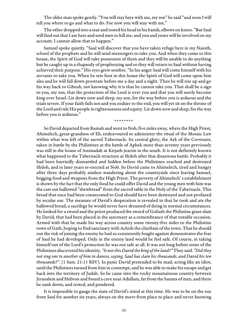The older man spoke gently. "You will stay here with me, my son" he said "and soon I will tell you where to go and what to do. For now you will stay with me."

The other dropped into a seat and rested his head in his hands, elbows on knees. "But Saul will find out that I am here and send men to kill me, and you and yours will be involved on my account. I cannot allow that to happen."

Samuel spoke quietly. "Saul will discover that you have taken refuge here in my Naioth, school of the prophets and he will send messengers to take you. And when they come to this house, the Spirit of God will take possession of them and they will be unable to do anything but be caught up in a rhapsody of prophesying and so they will return to Saul without having achieved their purpose." His eyes grew sombre. "In his anger Saul will come himself with his servants to take you. When he sets foot in this house the Spirit of God will come upon him also and he will fall down prostrate before me a day and a night. Then he will rise up and go his way back to Gibeah, not knowing why it is that he cannot take you. That shall be a sign to you, my son, that the protection of the Lord is over you and that you will surely become king over Israel. Lie down now and sleep, my son, for the way before you is arduous and the trials severe. If your faith fails not and you endure to the end, you will yet sit on the throne of the Lord and rule His people in righteousness and equity. Lie down now and sleep, for the way before you is arduous."

\*\*\*\*\*\*\*\*

So David departed from Ramah and went to Nob, five miles away, where the High Priest, Ahimelech, great-grandson of Eli, endeavoured to administer the ritual of the Mosaic Law within what was left of the sacred Tabernacle. Its central glory, the Ark of the Covenant, taken in battle by the Philistines at the battle of Aphek more than seventy years previously was still in the house of Aminadab at Kirjath-jearim in the south. It is not definitely known what happened to the Tabernacle structure at Shiloh after that disastrous battle. Probably it had been hurriedly dismantled and hidden before the Philistines reached and destroyed Shiloh, and in later years re-erected at Nob. So David came to Ahimelech, tired and hungry after three days probably aimless wandering about the countryside since leaving Samuel, begging food and weapons from the High Priest. The poverty of Ahimelech' s establishment is shown by the fact that the only food he could offer David and the young men with him was the cast out hallowed "shewbread" from the sacred table in the Holy of the Tabernacle. This bread that once had been consecrated to God should have been destroyed and not profaned by secular use. The measure of David's desperation is revealed in that he took and ate the hallowed bread, a sacrilege he would never have dreamed of doing in normal circumstances. He looked for a sword and the priest produced the sword of Goliath the Philistine giant slain by David, that had been placed in the sanctuary as a remembrance of that notable occasion. Armed with that he made his way across country some twenty-five miles to the Philistine town of Gath, hoping to find sanctuary with Achish the chieftain of the town. That he should run the risk of joining the enemy he had so consistently fought against demonstrates the fear of Saul he had developed. Only in the enemy land would he feel safe. Of course, in taking himself out of the Lord's protection he was not safe at all. It was not long before some of the Philistines discovered his identity. "Is not this David the king of the land?" They said. "Did they not sing one to another of him in dances, saying, Saul has slain his thousands, and David his ten thousands?". (1 Sam. 21:11 RSV). In panic David pretended to be mad, acting like an idiot, until the Philistines turned from him in contempt, and he was able to make his escape and get back into the territory of Judah. So he came into the rocky mountainous country between Jerusalem and Hebron and found a cave near Adullam, far from the haunts of men, and there he sank down, and rested, and pondered.

It is impossible to gauge the state of David's mind at this time. He was to be on the run from Saul for another six years, always on the move from place to place and never knowing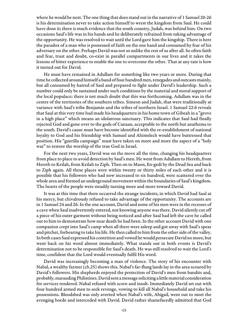where he would be next. The one thing that does stand out in the narrative of 1 Samuel 20-26 is his determination never to take action himself to wrest the kingdom from Saul. He could have done it; there is much evidence that the south country, Judah, was behind him. On two occasions Saul's life was in his hands and he deliberately refrained from taking advantage of the opportunity. He was resolved to wait until the Lord gave him the kingship. There is here the paradox of a man who is possessed of faith on the one hand and consumed by fear of his adversary on the other. Perhaps David was not so unlike the rest of us after all. So often faith and fear, trust and doubt, co-exist in parallel compartments in our lives and it takes the lessons of bitter experience to enable the one to overcome the other. That at any rate is how it turned out for David.

He must have remained in Adullam for something like two years or more. During that time he collected around himself a band of four hundred men, renegades and outcasts mainly, but all consumed by hatred of Saul and prepared to fight under David's leadership. Such a number could only be sustained under such conditions by the material and moral support of the local populace; there is not much doubt that this was forthcoming. Adullam was in the centre of the territories of the southern tribes. Simeon and Judah, that were traditionally at variance with Saul's tribe Benjamin and the tribes of northern Israel. 1 Samuel 22:6 reveals that Saul at this very time had made his headquarters in his home town of Gibeah in a "grove in a high place" which means an idolatrous sanctuary. This indicates that Saul had finally rejected God and gone over to the gods of Canaan, acceptable to the north but anathema to the south. David's cause must have become identified with the re-establishment of national loyalty to God and his friendship with Samuel and Ahimelech would have buttressed that position. His "guerilla campaign" must have taken on more and more the aspect of a "holy war" to restore the worship of the true God in Israel.

For the next two years, David was on the move all the time, changing his headquarters from place to place to avoid detection by Saul's men. He went from Adullam to Hereth, from Hereth to Keilah, from Keilah to Ziph. Then on to Maon, En-gedi by the Dead Sea and back to Ziph again. All these places were within twenty or thirty miles of each other and it is possible that his followers who had now increased to six hundred, were scattered over the whole area and formed an underground movement within the boundaries of Saul's kingdom. The hearts of the people were steadily turning more and more toward David.

It was at this time that there occurred the strange incidents, in which David had Saul at his mercy, but chivalrously refused to take advantage of the opportunity. The accounts are in 1 Samuel 24 and 26. In the one account, David and some of his men were in the recesses of a cave when Saul inadvertently entered, not knowing anyone was there. David silently cut off a piece of his outer garment without being noticed and after Saul had left the cave he called out to him to demonstrate how near death he had been. In the other account David with one companion crept into Saul's camp when all there were asleep and got away with Saul's spear and pitcher, forbearing to take his life. He then called to him from the other side of the valley. In both cases Saul expressed his contrition and vowed he would persecute David no more, but went back on his word almost immediately. What stands out in both events is David's determination not to be responsible for Saul's death. He was still resolved to wait the Lord's time, confident that the Lord would eventually fulfil His word.

David was increasingly becoming a man of violence. The story of his encounter with Nabal, a wealthy farmer (ch.25) shows this. Nabal's far-flung lands lay in the area scoured by David's followers. His shepherds enjoyed the protection of David's men from bandits and, probably, marauding Philistines. David sent a message soliciting a little material consideration for services rendered. Nabal refused with scorn and insult. Immediately David set out with four hundred armed men to seek revenge, vowing to kill all Nabal's household and take his possessions. Bloodshed was only averted when Nabal's wife, Abigail, went out to meet the avenging horde and interceded with David. David rather shamefacedly admitted that God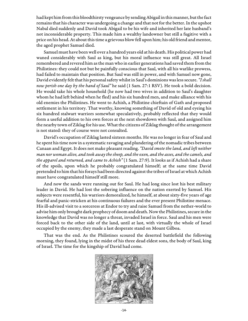had kept him from this bloodthirsty vengeance by sending Abigail in this manner, but the fact remains that his character was undergoing a change and that not for the better. In the upshot Nabal died suddenly and David took Abigail to be his wife and inherited her late husband's not inconsiderable property. This made him a wealthy landowner but still a fugitive with a price on his head. At about this time a grievous blow fell upon him; his old friend and mentor, the aged prophet Samuel died.

Samuel must have been well over a hundred years old at his death. His political power had waned considerably with Saul as king, but his moral influence was still great. All Israel remembered and revered him as the man who in earlier generations had saved them from the Philistines: they could not but be painfully conscious that Saul, with all his warlike prowess, had failed to maintain that position. But Saul was still in power, and with Samuel now gone, David evidently felt that his personal safety whilst in Saul's dominions was less secure. "I shall now perish one day by the hand of Saul" he said (1 Sam. 27:1 RSV). He took a bold decision. He would take his whole household (he now had two wives in addition to Saul's daughter whom he had left behind when he fled) and his six hundred men, and make alliance with his old enemies the Philistines. He went to Achish, a Philistine chieftain of Gath and proposed settlement in his territory. That worthy, knowing something of David of old and eyeing his six hundred stalwart warriors somewhat speculatively, probably reflected that they would form a useful addition to his own forces at the next showdown with Saul, and assigned him the nearby town of Ziklag for his use. What the citizens of Ziklag thought of the arrangement is not stated: they of course were not consulted.

David's occupation of Ziklag lasted sixteen months. He was no longer in fear of Saul and he spent his time now in a systematic ravaging and plundering of the nomadic tribes between Canaan and Egypt. It does not make pleasant reading. "David smote the land, and left neither man nor woman alive, and took away the sheep, and the oxen, and the asses, and the camels, and the apparel and returned, and came to Achish" (1 Sam. 27:9). It looks as if Achish had a share of the spoils, upon which he probably congratulated himself; at the same time David pretended to him that his forays had been directed against the tribes of Israel at which Achish must have congratulated himself still more.

And now the sands were running out for Saul. He had long since lost his best military leader in David. He had lost the sobering influence on the nation exerted by Samuel. His subjects were resentful, his warriors demoralized, he himself, at about sixty-five years of age fearful and panic-stricken at his continuous failures and the ever present Philistine menace. His ill-advised visit to a sorceress at Endor to try and raise Samuel from the nether-world to advise him only brought dark prophecy of doom and death. Now the Philistines, secure in the knowledge that David was no longer a threat, invaded Israel in force. Saul and his men were forced back to the other side of the land, until at last, with virtually the whole of Israel occupied by the enemy, they made a last desperate stand on Mount Gilboa.

That was the end. As the Philistines scoured the deserted battlefield the following morning, they found, lying in the midst of his three dead eldest sons, the body of Saul, king of Israel. The time for the kingship of David had come.

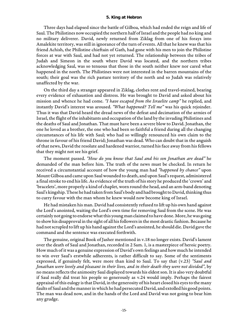#### **5. King at Hebron**

Three days had elapsed since the battle of Gilboa, which had ended the reign and life of Saul. The Philistines now occupied the northern half of Israel and the people had no king and no military deliverer. David, newly returned from Ziklag from one of his forays into Amalekite territory, was still in ignorance of the turn of events. All that he knew was that his friend Achish, the Philistine chieftain of Gath, had gone with his men to join the Philistine forces at war with Saul, and had not yet returned. The relationship between the tribes of Judah and Simeon in the south where David was located, and the northern tribes acknowledging Saul, was so tenuous that those in the south neither knew nor cared what happened in the north. The Philistines were not interested in the barren mountains of the south; their goal was the rich pasture territory of the north and so Judah was relatively unaffected by the war.

On the third day a stranger appeared in Ziklag, clothes rent and travel-stained, bearing every evidence of exhaustion and distress. He was brought to David and asked about his mission and whence he had come. "I have escaped from the Israelite camp" he replied, and instantly David's interest was aroused. "What happened? Tell me" was his quick rejoinder. Thus it was that David heard the dread news of the defeat and decimation of the armies of Israel, the flight of the inhabitants and occupation of the land by the invading Philistines and the deaths of Saul and Jonathan. That must have been a severe blow to David. Jonathan, the one he loved as a brother, the one who had been so faithful a friend during all the changing circumstances of his life with Saul; who had so willingly renounced his own claim to the throne in favour of his friend David; Jonathan was dead. Who can doubt that in the anguish of that news, David the resolute and hardened warrior, turned his face away from his fellows that they might not see his grief.

The moment passed. "How do you know that Saul and his son Jonathan are dead" he demanded of the man before him. The truth of the news must be checked. In return he received a circumstantial account of how the young man had "happened by chance" upon Mount Gilboa and came upon Saul wounded to death, and upon Saul's request, administered a final stroke to end his life. As evidence of the truth of his story he produced the 'crown' and 'bracelets', more properly a kind of chaplet, worn round the head, and an arm-band denoting Saul's kingship. These he had taken from Saul's body and had brought to David, thinking thus to curry favour with the man whom he knew would now become king of Israel.

He had mistaken his man. David had consistently refused to lift up his own hand against the Lord's anointed, waiting the Lord's own time for removing Saul from the scene. He was certainly not going to endorse what this young man claimed to have done. More, he was going to show his disapproval in the sight of all his followers in the most drastic fashion. Because he had not scrupled to lift up his hand against the Lord's anointed, he should die. David gave the command and the sentence was executed forthwith.

The genuine, original Book of Jasher mentioned in v.18 no longer exists. David's lament over the death of Saul and Jonathan, recorded in 2 Sam. 1, is a masterpiece of heroic poetry. How much of it was a genuine expression of David's own feelings and how much he intended to win over Saul's erstwhile adherents, is rather difficult to say. Some of the sentiments expressed, if genuinely felt, were more than kind to Saul. To say that (v.23) "Saul and Jonathan were lovely and pleasant in their lives, and in their death they were not divided", by no means reflects the animosity Saul displayed towards his eldest son. It is also very doubtful if Saul really did treat his people so generously as v.24 would imply. Perhaps the fairest appraisal of this eulogy is that David, in the generosity of his heart closed his eyes to the many faults of Saul and the manner in which he had persecuted David, and extolled his good points. The man was dead now, and in the hands of the Lord and David was not going to bear him any grudge.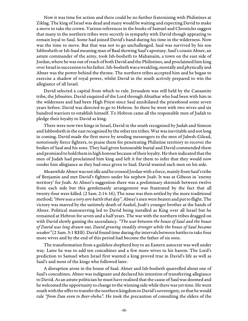Now it was time for action and there could be no further fraternising with Philistines at Ziklag. The king of Israel was dead and many would be waiting and expecting David to make a move to take the crown. Various references in the books of Samuel and Chronicles suggest that many in the northern tribes were secretly in sympathy with David though appearing to remain loyal to Saul. Some had joined David's band during his time in the wilderness. Now was the time to move. But that was not to go unchallenged. Saul was survived by his son Ishbosheth or Ish-baal meaning man of Baal showing Saul's apostasy. Saul's cousin Abner, an astute commander of the army, took Ish-bosheth to Mahanaim, a town on the east side of Jordan, where he was out of reach of both David and the Philistines, and proclaimed him king over Israel in succession to his father. Ish-bosheth was a weakling, mentally and physically and Abner was the power behind the throne. The northern tribes accepted him and he began to exercise a shadow of royal power, whilst David in the south actively prepared to win the allegiance of all Israel.

David selected a capital from which to rule. Jerusalem was still held by the Canaanite tribe, the Jebusites. David enquired of the Lord through Abiathar who had been with him in the wilderness and had been High Priest since Saul annihilated the priesthood some seven years before. David was directed to go to Hebron. So there he went with two wives and six hundred warriors to establish himself. To Hebron came all the responsible men of Judah to pledge their loyalty to David as king.

There were now two kings in Israel, David in the south recognised by Judah and Simeon and Ishbosheth in the east recognised by the other ten tribes. War was inevitable and not long in coming. David made the first move by sending messengers to the men of Jabesh-Gilead, notoriously fierce fighters, to praise them for penetrating Philistine territory to recover the bodies of Saul and his sons. They had given honourable burial and David commended them and promised to hold them in high honour because of their loyalty. He then indicated that the men of Judah had proclaimed him king and left it for them to infer that they would now render him allegiance as they had once given to Saul. David wanted such men on his side.

Meanwhile Abner was not idle and he crossed Jordan with a force, mainly from Saul's tribe of Benjamin and met David's fighters under his nephew Joab. It was at Gibeon in 'enemy territory' for Joab. At Abner's suggestion there was a preliminary skirmish between twelve from each side but this gentlemanly arrangement was frustrated by the fact that all twenty-four were killed. (2 Sam. 2:14-16), The issue was then settled by the more traditional method; "there was a very sore battle that day". Abner's men were beaten and put to flight. The victory was marred by the untimely death of Asahel, Joab's younger brother at the hands of Abner. Political manoeuvring led to David being installed as King over all Israel but he remained at Hebron for seven and a half years. The war with the northern tribes dragged on with David slowly gaining the ascendancy. "The war between the house of Saul and the house of David was long drawn out, David growing steadily stronger while the house of Saul became weaker" (2 Sam. 3:1 REB). David found time during the intervals between battles to take four more wives and by the end of this period had become the father of six sons.

The transformation from a guileless shepherd boy to an Eastern autocrat was well under way. Later he was to add ten concubines and a few more wives to his harem. The Lord's prediction to Samuel when Israel first wanted a king proved true in David's life as well as Saul's and most of the kings who followed later.

A disruption arose in the house of Saul. Abner and Ish-bosheth quarrelled about one of Saul's concubines. Abner was indignant and declared his intention of transferring allegiance to David. As an astute politician he must have realised that the cause of Saul was doomed and he welcomed the opportunity to change to the winning side while there was yet time. He went south with the offer to transfer the northern kingdom to David's sovereignty, so that he would rule "from Dan even to Beer-sheba". He took the precaution of consulting the elders of the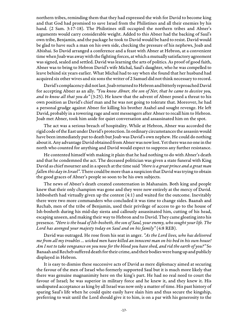northern tribes, reminding them that they had expressed the wish for David to become king and that God had promised to save Israel from the Philistines and all their enemies by his hand. (2 Sam. 3:17-18). The Philistines still occupied the northern tribes and Abner's arguments would carry considerable weight. Added to this Abner had the backing of Saul's own tribe, Benjamin, and the package he took to David would be hard to resist. David would be glad to have such a man on his own side, checking the pressure of his nephews, Joab and Abishai. So David arranged a conference and a feast with Abner at Hebron, at a convenient time when Joab was away with the fighting forces, at which a mutually satisfactory agreement was signed, sealed and settled. David was learning the arts of politics. As proof of good faith, Abner was to bring to Hebron David's wife Michal, Saul's daughter, who he was compelled to leave behind six years earlier. What Michal had to say when she found that her husband had acquired six other wives and six sons the writer of 2 Samuel did not think necessary to record.

David's complacency did not last. Joab returned to Hebron and bitterly reproached David for accepting Abner as an ally. "You know Abner, the son of Ner, that he came to deceive you, and to know all that you do"  $(3:25)$ . He knew that the advent of Abner posed a threat to his own position as David's chief man and he was not going to tolerate that. Moreover, he had a personal grudge against Abner for killing his brother Asahel and sought revenge. He left David, probably in a towering rage and sent messengers after Abner to recall him to Hebron. Joab met Abner, took him aside for quiet conversation and assassinated him on the spot.

The act was a serious breach of hospitality. While at Hebron, Abner was accorded the rigid code of the East under David's protection. In ordinary circumstances the assassin would have been immediately put to death but Joab was David's own nephew. He could do nothing about it. Any advantage David obtained from Abner was now lost. Yet there was no one in the north who counted for anything and David would expect to suppress any further resistance.

He contented himself with making it plain that he had nothing to do with Abner's death and that he condemned the act. The deceased politician was given a state funeral with King David as chief mourner and in a speech at the time said "there is a great prince and a great man fallen this day in Israel". There could be more than a suspicion that David was trying to obtain the good graces of Abner's people so soon to be his own subjects.

The news of Abner's death created consternation in Mahanaim. Both king and people knew that their only champion was gone and they were now entirely at the mercy of David. Ishbosheth had virtually given up the contest (4:1) and waited for the outcome. Inevitably there were two more commanders who concluded it was time to change sides. Baanah and Rechab, men of the tribe of Benjamin, used their privilege of access to go to the house of Ish-bosheth during his mid-day siesta and callously assassinated him, cutting of his head, escaping unseen, and making their way to Hebron and to David. They came gloating into his presence. "Here is the head of Ish-bosheth, the son of Saul, your enemy, who sought your life. The Lord has avenged your majesty today on Saul and on his family" (4:8 REB).

David was outraged. He rose from his seat in anger. "As the Lord lives, who has delivered me from all my troubles … wicked men have killed an innocent man on his bed in his own house! Am I not to take vengeance on you now for the blood you have shed, and rid the earth of you?" So Banaah and Recheb suffered death for their crime, and their bodies were hung up and publicly displayed in Hebron.

It is easy to dismiss these successive acts of David as mere diplomacy aimed at securing the favour of the men of Israel who formerly supported Saul but it is much more likely that there was genuine magnanimity here on the king's part. He had no real need to court the favour of Israel; he was superior in military force and he knew it, and they knew it. His undisputed acceptance as king by all Israel was now only a matter of time. His past history of sparing Saul's life when he could quite easily have slain him and thus secure the kingship, preferring to wait until the Lord should give it to him, is on a par with his generosity to the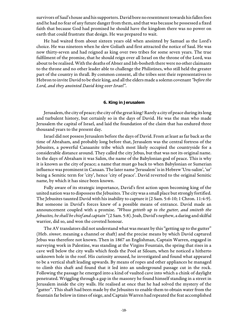survivors of Saul's house and his supporters. David bore no resentment towards his fallen foes and he had no fear of any future danger from them, and that was because he possessed a fixed faith that because God had promised he should have the kingdom there was no power on earth that could frustrate that design. He was prepared to wait.

He had waited from about sixteen years old when anointed by Samuel as the Lord's choice. He was nineteen when he slew Goliath and first attracted the notice of Saul. He was now thirty-seven and had reigned as king over two tribes for some seven years. The true fulfilment of the promise, that he should reign over all Israel on the throne of the Lord, was about to be realised. With the deaths of Abner and Ish-bosheth there were no other claimants to the throne and no other leader able to challenge the Philistines, who still held the greater part of the country in thrall. By common consent, all the tribes sent their representatives to Hebron to invite David to be their king, and all the elders made a solemn covenant "before the Lord, and they anointed David king over Israel".

#### **6. King in Jerusalem**

Jerusalem, the city of peace; the city of the great king! Rarely a city of peace during its long and turbulent history, but certainly so in the days of David. He was the man who made Jerusalem the capital of Israel, and laid the foundation of the claim that has endured three thousand years to the present day.

Israel did not possess Jerusalem before the days of David. From at least as far back as the time of Abraham, and probably long before that, Jerusalem was the central fortress of the Jebusites, a powerful Canaanite tribe which most likely occupied the countryside for a considerable distance around. They called the city Jebus, but that was not its original name. In the days of Abraham it was Salim, the name of the Babylonian god of peace. This is why it is known as the city of peace; a name that must go back to when Babylonian or Sumerian influence was prominent in Canaan. The later name 'Jerusalem' is in Hebrew 'Uru-salim', 'ur' being a Semitic term for 'city', hence 'city of peace'. David reverted to the original Semitic name, by which it has since been known.

Fully aware of its strategic importance, David's first action upon becoming king of the united nation was to dispossess the Jebusites. The city was a small place but strongly fortified. The Jebusites taunted David with his inability to capture it (2 Sam. 5:6-10; 1 Chron. 11:4-9). But someone in David's forces knew of a possible means of entrance. David made an announcement coupled with a promise. "Whoso getteth up to the gutter, and smiteth the Jebusites, he shall be chief and captain" (2 Sam. 5:8). Joab, David's nephew, a daring and skilful warrior, did so, and won the coveted honour.

The AV translators did not understand what was meant by this "getting up to the gutter" (Heb. sinnor, meaning a channel or shaft) and the precise means by which David captured Jebus was therefore not known. Then in 1867 an Englishman, Captain Warren, engaged in surveying work in Palestine, was standing at the Virgins Fountain, the spring that rises in a cave well below the city walls which feeds the Pool at Siloam, when he noticed a hitherto unknown hole in the roof. His curiosity aroused, he investigated and found what appeared to be a vertical shaft leading upwards. By means of ropes and other appliances he managed to climb this shaft and found that it led into an underground passage cut in the rock. Following the passage he emerged into a kind of vaulted cave into which a chink of daylight penetrated. Wriggling through a gap in the masonry he found himself standing in a street in Jerusalem inside the city walls. He realised at once that he had solved the mystery of the "gutter". This shaft had been made by the Jebusites to enable them to obtain water from the fountain far below in times of siege, and Captain Warren had repeated the feat accomplished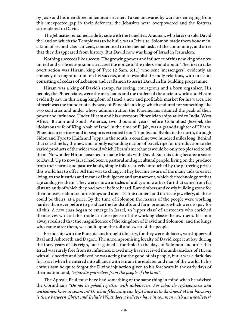by Joab and his men three millenniums earlier. Taken unawares by warriors emerging from this unexpected gap in their defences, the Jebusites were overpowered and the fortress surrendered to David.

The Jebusites remained, side by side with the Israelites. Araunah, who later on sold David the land on which the Temple was to be built, was a Jebusite. Solomon made them bondmen, a kind of second-class citizens, condemned to the menial tasks of the community, and after that they disappeared from history. But David now was king of Israel in Jerusalem.

Nothing succeeds like success. The growing power and influence of this new king of a now united and virile nation soon attracted the notice of the rulers round about. The first to take overt action was Hiram, king of Tyre (2 Sam. 5:11) who sent 'messengers', evidently an embassy of congratulation on his success, and to establish friendly relations, with presents consisting of cedars of Lebanon and craftsmen to assist David in his building programme.

Hiram was a king of David's stamp, far seeing, courageous and a born organiser. His people, the Phoenicians, were the merchants and the traders of the ancient world and Hiram evidently saw in this rising kingdom of Israel a new and profitable market for his wares. He himself was the founder of a dynasty of Phoenician kings which endured for something like two centuries and under whose administration the Phoenicians attained the peak of their power and influence. Under Hiram and his successors Phoenician ships sailed to India, West Africa, Britain and South America, two thousand years before Columbus! Jezebel, the idolatrous wife of King Ahab of Israel in the time of Elijah, was a granddaughter of Hiram. Phoenician territory and its seaports extended from Tripolis and Byblos in the north, through Sidon and Tyre to Haifa and Joppa in the south, a coastline two hundred miles long. Behind that coastline lay the new and rapidly expanding nation of Israel, ripe for introduction to the varied products of the wider world which Hiram's merchants would be only too pleased to sell them. No wonder Hiram hastened to make friends with David. But this thing became a snare to David. Up to now Israel had been a pastoral and agricultural people, living on the produce from their farms and pasture lands, simple folk relatively untouched by the glittering prizes this world has to offer. All this was to change. They became aware of the many aids to easier living, to the luxuries and means of indulgence and amusement, which the technology of that age could give them. They were shown articles of utility and works of art that came from far distant lands of which they had never before heard. Rare timbers and costly building stone for their houses, elaborate furnishings and utensils, fine raiment and intricate jewellery, all these could be theirs, at a price. By the time of Solomon the masses of the people were working harder than ever before to produce the foodstuffs and farm products which were to pay for all this. A new class began to emerge in Israel, an 'upper class' of aristocrats who enriched themselves with all this trade at the expense of the working classes below them. It is not always realised that the magnificence of the kingdom of David and Solomon, and the kings who came after them, was built upon the toil and sweat of the people.

Friendship with the Phoenicians brought idolatry, for they were idolaters, worshippers of Baal and Ashtoreth and Dagon. The uncompromising loyalty of David kept it at bay during the forty years of his reign, but it gained a foothold in the days of Solomon and after that Israel was rarely free from its influence. David may have received the ambassadors of Hiram with all sincerity and believed he was acting for the good of his people, but it was a dark day for Israel when he entered into alliance with Hiram the idolater and man of the world. In his enthusiasm he quite forgot the Divine injunction given to his forebears in the early days of their nationhood, "separate yourselves from the people of the land".

The Apostle Paul must have had something of the same thing in mind when he advised the Corinthians "Do not be yoked together with unbelievers. For what do righteousness and wickedness have in common? Or what fellowship can light have with darkness? What harmony is there between Christ and Belial? What does a believer have in common with an unbeliever?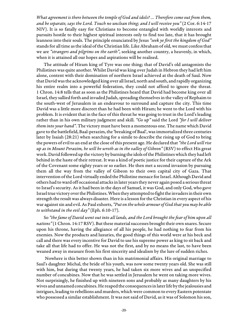What agreement is there between the temple of God and idols? … Therefore come out from them, and be separate, says the Lord. Touch no unclean thing; and I will receive you" (2 Cor. 6:14-17 NIV). It is so fatally easy for Christians to become entangled with worldly interests and pursuits hostile to their highest spiritual interests only to find too late, that it has brought leanness into their souls. The principle enunciated by Jesus "seek ye first the kingdom of God" stands for all time as the ideal of the Christian life. Like Abraham of old, we must confess that we are "strangers and pilgrims on the earth", seeking another country, a heavenly, in which, when it is attained all our hopes and aspirations will be realised.

The attitude of Hiram king of Tyre was one thing; that of David's old antagonists the Philistines was quite another. Whilst David was king over Judah in Hebron they had left him alone, content with their domination of northern Israel achieved at the death of Saul. Now that David was the acknowledged king over all Israel, north and south, and rapidly organizing his entire realm into a powerful federation, they could not afford to ignore the threat. 1 Chron. 14:8 tells that as soon as the Philistines heard that David had become king over all Israel, they sallied forth and invaded Judah, spreading themselves in the valley of Rephaim to the south-west of Jerusalem in an endeavour to surround and capture the city. This time David was a little more discreet than he had been with Hiram; he went to the Lord with his problem. It is evident that in the face of this threat he was going to trust in the Lord's leading rather than in his own military judgment and skill. "Go up" said the Lord "for I will deliver them into your hand". The victory must have been a momentous one. The name which David gave to the battlefield, Baal-perazim, the 'breaking of Baal', was immortalized three centuries later by Isaiah (28:21) when searching for a simile to describe the rising up of God to bring the powers of evil to an end at the close of this present age. He declared that "the Lord will rise up as in Mount Perazim, he will be wroth as in the valley of Gibeon" (RSV) to effect His great work. David followed up the victory by burning the idols of the Philistines which they had left behind in the haste of their retreat. It was a kind of poetic justice for their capture of the Ark of the Covenant some eighty years or so earlier. He then met a second invasion by pursuing them all the way from the valley of Gibeon to their own capital city of Gaza. That intervention of the Lord virtually ended the Philistine menace for Israel. Although David and others had to ward off occasional attacks in later years they never again posed a serious threat to Israel's security. As it had been in the days of Samuel, it was God, and only God, who gave Israel true victory over the Philistines. When they attempted to fight the invaders in their own strength the result was always disaster. Here is a lesson for the Christian in every aspect of his war against sin and evil. As Paul exhorts, "Put on the whole armour of God that you may be able to withstand in the evil day" (Eph. 6:10-17).

So "the fame of David went out into all lands, and the Lord brought the fear of him upon all nations" (1 Chron. 14:17 RSV). But these material successes brought their own snares. Secure upon his throne, having the allegiance of all his people, he had nothing to fear from his enemies. Now the products and luxuries, the good things of this world were at his beck and call and there was every incentive for David to use his supreme power as king to sit back and take all that life had to offer. He was not the first, and by no means the last, to have been weaned away in measure from his first sincerity and idealism by the lure of sudden riches.

 Nowhere is this better shown than in his matrimonial affairs. His original marriage to Saul's daughter Michal, the bride of his youth, was now some twenty years old. She was still with him, but during that twenty years, he had taken six more wives and an unspecified number of concubines. Now that he was settled in Jerusalem he went on taking more wives. Not surprisingly, he finished up with nineteen sons and probably as many daughters by his wives and unnamed concubines. He reaped the consequences in later life by the jealousies and intrigues, leading to rebellions and murders, which were common to every Eastern potentate who possessed a similar establishment. It was not said of David, as it was of Solomon his son,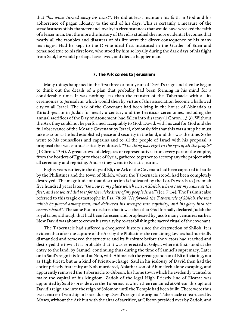that "his wives turned away his heart". He did at least maintain his faith in God and his abhorrence of pagan idolatry to the end of his days. This is certainly a measure of the steadfastness of his character and loyalty in circumstances that would have wrecked the faith of a lesser man. But the more the history of David is studied the more evident it becomes that nearly all the troubles and disasters of his life were the direct consequence of his many marriages. Had he kept to the Divine ideal first instituted in the Garden of Eden and remained true to his first love, who stood by him so loyally during the dark days of his flight from Saul, he would perhaps have lived, and died, a happier man.

#### **7. The Ark comes to Jerusalem**

Many things happened in the first three or four years of David's reign and then he began to think out the details of a plan that probably had been forming in his mind for a considerable time. It was nothing less than the transfer of the Tabernacle with all its ceremonies to Jerusalem, which would then by virtue of this association become a hallowed city to all Israel. The Ark of the Covenant had been lying in the house of Abinadab at Kiriath-jearim in Judah for nearly a century and the Leviticus ceremonies, including the annual sacrifices of the Day of Atonement, had fallen into disarray (1 Chron. 13:3). Without the Ark they could not be performed acceptably to God. David, with his zeal for God and the full observance of the Mosaic Covenant by Israel, obviously felt that this was a step he must take as soon as he had established peace and security in the land, and this was the time. So he went to his counsellors and captains and to all the people of Israel with his proposal, a proposal that was enthusiastically endorsed. "The thing was right in the eyes of all the people" (1 Chron. 13:4). A great crowd of delegates or representatives from every part of the empire, from the borders of Egypt to those of Syria, gathered together to accompany the project with all ceremony and rejoicing. And so they went to Kiriath-jearim.

Eighty years earlier, in the days of Eli, the Ark of the Covenant had been captured in battle by the Philistines and the town of Shiloh, where the Tabernacle stood, had been completely destroyed. The magnitude of that destruction is indicated by the Lord's words to Jeremiah five hundred years later. "Go now to my place which was in Shiloh, where I set my name at the first, and see what I did to it for the wickedness of my people Israel" (Jer. 7:14). The Psalmist also referred to this tragic catastrophe in Psa. 78:60 "He forsook the Tabernacle of Shiloh, the tent which he placed among men, and delivered his strength into captivity, and his glory into the enemy's hand". The same Psalm declares that it was then that God formally declared Judah the royal tribe; although that had been foreseen and prophesied by Jacob many centuries earlier. Now David was about to crown his royalty by re-establishing the sacred ritual of the covenant.

The Tabernacle had suffered a chequered history since the destruction of Shiloh. It is evident that after the capture of the Ark by the Philistines the remaining Levites had hurriedly dismantled and removed the structure and its furniture before the victors had reached and destroyed the town. It is probable that it was re-erected at Gilgal, where it first stood at the entry to the land, by Samuel, continuing thus during the time of Samuel's supremacy. Later on in Saul's reign it is found at Nob, with Ahimelech the great-grandson of Eli officiating, not as High Priest, but as a kind of Priest-in-charge. Saul in his jealousy of David then had the entire priestly fraternity at Nob murdered, Abiathar son of Ahimelech alone escaping, and apparently removed the Tabernacle to Gibeon, his home town which he evidently wanted to make the capital of his kingdom. Zadok of the legal High Priestly line of Eleazar was appointed by Saul to preside over the Tabernacle, which then remained at Gibeon throughout David's reign and into the reign of Solomon until the Temple had been built. There were thus two centres of worship in Israel during David's reign; the original Tabernacle constructed by Moses, without the Ark but with the altar of sacrifice, at Gibeon presided over by Zadok, and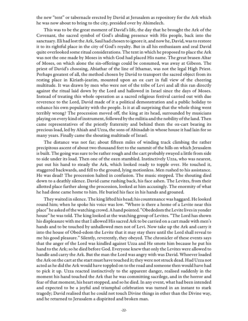the new "tent" or tabernacle erected by David at Jerusalem as repository for the Ark which he was now about to bring to the city, presided over by Ahimelech.

This was to be the great moment of David's life, the day that he brought the Ark of the Covenant, the sacred symbol of God's abiding presence with His people, back into the sanctuary. Eli had lost the Ark, Saul had chosen to ignore it, and now he, David, was to restore it to its rightful place in the city of God's royalty. But in all his enthusiasm and zeal David quite overlooked some ritual considerations. The tent in which he proposed to place the Ark was not the one made by Moses in which God had placed His name. The great brasen Altar of Moses, on which alone the sin-offerings could be consumed, was away at Gibeon. The priest of David's choosing, Abiathar of the line of Ithamar, was not the legal High Priest. Perhaps greatest of all, the method chosen by David to transport the sacred object from its resting place in Kiriath-jearim, mounted upon an ox cart in full view of the cheering multitude. It was drawn by men who were not of the tribe of Levi and all this ran directly against the ritual laid down by the Lord and hallowed in Israel since the days of Moses. Instead of treating this whole operation as a sacred religious festival carried out with due reverence to the Lord, David made of it a political demonstration and a public holiday to enhance his own popularity with the people. Is it at all surprising that the whole thing went terribly wrong? The procession moved off, the king at its head, surrounded by musicians playing on every kind of instrument, followed by the militia and the nobility of the land. Then came representatives of the priestly fraternity and behind them the ox-cart bearing its precious load, led by Ahiah and Uzza, the sons of Abinadab in whose house it had lain for so many years. Finally came the shouting multitude of Israel.

The distance was not far; about fifteen miles of winding track climbing the rather precipitous ascent of about two thousand feet to the summit of the hills on which Jerusalem is built. The going was sure to be rather rough and the cart probably swayed a little from side to side under its load. Then one of the oxen stumbled. Instinctively Uzza, who was nearest, put out his hand to steady the Ark, which looked ready to topple over. He touched it, staggered backwards, and fell to the ground, lying motionless. Men rushed to his assistance. He was dead! The procession halted in confusion. The music stopped. The shouting died down to a deathly silence. David came rushing back, his face ashen. The Levites, from their allotted place farther along the procession, looked at him accusingly. The enormity of what he had done came home to him. He buried his face in his hands and groaned.

They waited in silence. The king lifted his head; his countenance was haggard. He looked round him; when he spoke his voice was low. "Where is there a home of a Levite near this place" he asked of the watching crowd. A hand pointed. "Obededom the Levite lives in yonder house" he was told. The king looked at the watching group of Levites. "The Lord has shown his displeasure with me that I allowed His sacred Ark to be carried on a cart made with men's hands and to be touched by unhallowed men not of Levi. Now take up the Ark and carry it into the house of Obed-edom the Levite that it may stay there until the Lord shall reveal to me his good pleasure." Silently, reverently, they obeyed. The chronicler of these events says that the anger of the Lord was kindled against Uzza and He smote him because he put his hand to the Ark; so he died before God. Everyone knew that only the Levites were allowed to handle and carry the Ark. But the man the Lord was angry with was David. Whoever loaded the Ark on the cart at the start must have touched it; they were not struck dead. Had Uzza not acted as he did the Ark would have toppled on to the road and someone then would have had to pick it up. Uzza reacted instinctively to the apparent danger, realised suddenly in the moment his hand touched the Ark that he was committing sacrilege, and in the horror and fear of that moment, his heart stopped, and so he died. In any event, what had been intended and expected to be a joyful and triumphal celebration was turned in an instant to stark tragedy; David realised that he could not touch Divine things in other than the Divine way, and he returned to Jerusalem a dispirited and broken man.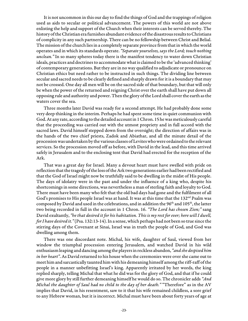It is not uncommon in this our day to find the things of God and the trappings of religion used as aids to secular or political advancement. The powers of this world are not above enlisting the help and support of the Church when their interests can be served thereby. The history of the Christian era furnishes abundant evidence of the disastrous results to Christians of complicity in any such partnership. There can be no fellowship between Christ and Belial. The mission of the church lies in a completely separate province from that in which the world operates and in which its standards operate. "Separate yourselves, says the Lord; touch nothing unclean." In so many spheres today there is the manifest tendency to water down Christian ideals, practices and doctrines to accommodate what is claimed to be the 'advanced thinking' of contemporary generations. But they are in no way qualified to adjudicate or pronounce on Christian ethics but need rather to be instructed in such things. The dividing line between secular and sacred needs to be clearly defined and sharply drawn for it is a boundary that may not be crossed. One day all men will be on the sacred side of that boundary, but that will only be when the power of the returned and reigning Christ over the earth shall have put down all opposing rule and authority and power. Then the glory of the Lord shall cover the earth as the waters cover the sea.

Three months later David was ready for a second attempt. He had probably done some very deep thinking in the interim. Perhaps he had spent some time in quiet communion with God. At any rate, according to the detailed account in 1 Chron. 15 he was meticulously careful that the proceeding was carried out with the utmost propriety and in full accord with the sacred laws. David himself stepped down from the oversight; the direction of affairs was in the hands of the two chief priests, Zadok and Abiathar, and all the minute detail of the procession was undertaken by the various classes of Levites who were ordained to the relevant services. So the procession moved off as before, with David in the lead, and this time arrived safely in Jerusalem and to the enclosing tent that David had erected for the reception of the Ark.

That was a great day for Israel. Many a devout heart must have swelled with pride on reflection that the tragedy of the loss of the Ark two generations earlier had been rectified and that the God of Israel might now be truthfully said to be dwelling in the midst of His people. The days of idolatry were in the past and under the influence of a king who, despite his shortcomings in some directions, was nevertheless a man of sterling faith and loyalty to God. There must have been many who felt that the old bad days had gone and the fulfilment of all God's promises to His people Israel was at hand. It was at this time that the 132<sup>nd</sup> Psalm was composed by David and used in the celebrations, and in addition the 96<sup>th</sup> and 105<sup>th</sup>, the latter two being recorded in full in the account in 1 Chron. 16. "The Lord has chosen Zion;" sang David exultantly, "he that desired it for his habitation. This is my rest for ever; here will I dwell, for I have desired it." (Psa. 132:13-14). In a sense, which perhaps had not been so true since the stirring days of the Covenant at Sinai, Israel was in truth the people of God, and God was dwelling among them.

There was one discordant note. Michal, his wife, daughter of Saul, viewed from her window the triumphal procession entering Jerusalem, and watched David in his wild enthusiasm leaping and dancing among the players in reckless abandon, "and she despised him in her heart". As David returned to his house when the ceremonies were over she came out to meet him and sarcastically taunted him with his demeaning himself among the riff-raff of the people in a manner unbefitting Israel's king. Apparently irritated by her words, the king replied sharply, telling Michal that what he did was for the glory of God, and that if he could give more glory by still further demeaning himself he would do so. The chronicler adds "And Michal the daughter of Saul had no child to the day of her death." "Therefore" as in the AV implies that David, in his resentment, saw to it that his wife remained childless, a sore grief to any Hebrew woman, but it is incorrect. Michal must have been about forty years of age at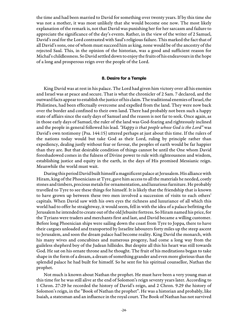the time and had been married to David for something over twenty years. If by this time she was not a mother, it was most unlikely that she would become one now. The most likely explanation of the remark is, not that David was punishing her for her sarcasm and failure to appreciate the significance of the day's events. Rather, in the view of the writer of 2 Samuel, David's zeal for the Lord contrasted with Saul's religious failure. This marked the fact that of all David's sons, one of whom must succeed him as king, none would be of the ancestry of the rejected Saul. This, in the opinion of the historian, was a good and sufficient reason for Michal's childlessness. So David settled down to enjoy the fruits of his endeavours in the hope of a long and prosperous reign over the people of the Lord.

#### **8. Desire for a Temple**

King David was at rest in his palace. The Lord had given him victory over all his enemies and Israel was at peace and secure. That is what the chronicler of 2 Sam. 7 declared, and the outward facts appear to establish the justice of his claim. The traditional enemies of Israel, the Philistines, had been effectually overcome and expelled from the land. They were now back over the border and confined to their own land. There had probably not been such a happy state of affairs since the early days of Samuel and the reason is not far to seek. Once again, as in those early days of Samuel, the ruler of the land was God-fearing and righteously inclined and the people in general followed his lead. "Happy is that people whose God is the Lord" was David's own testimony (Psa. 144:15) uttered perhaps at just about this time. If the rulers of the nations today would but take God as their Lord, ruling by principle rather than expediency, dealing justly without fear or favour, the peoples of earth would be far happier than they are. But that desirable condition of things cannot be until the One whom David foreshadowed comes in the fulness of Divine power to rule with righteousness and wisdom, establishing justice and equity in the earth, in the days of His promised Messianic reign. Meanwhile the world must wait.

During this period David built himself a magnificent palace at Jerusalem. His alliance with Hiram, king of the Phoenicians at Tyre, gave him access to all the materials he needed, costly stones and timbers, precious metals for ornamentation, and luxurious furniture. He probably travelled to Tyre to see these things for himself. It is likely that the friendship that is known to have grown up between these two men involved a succession of visits to each others' capitals. When David saw with his own eyes the richness and luxuriance of all which this world had to offer he straightway, it would seem, fell in with the idea of a palace befitting the Jerusalem he intended to create out of the old Jebusite fortress. So Hiram named his price, for the Tyrians were traders and merchants first and last, and David became a willing customer. Before long Phoenician ships were sailing down the coast from Tyre to Joppa, there to have their cargoes unloaded and transported by Israelite labourers forty miles up the steep ascent to Jerusalem, and soon the dream palace had become reality. King David the monarch, with his many wives and concubines and numerous progeny, had come a long way from the guileless shepherd boy of the Judean hillsides. But despite all this his heart was still towards God. He sat on his ornate throne and he thought. The fruit of his meditations began to take shape in the form of a dream, a dream of something grander and even more glorious than the splendid palace he had built for himself. So he sent for his spiritual counsellor, Nathan the prophet.

Not much is known about Nathan the prophet. He must have been a very young man at this time for he was still alive at the end of Solomon's reign seventy years later. According to 1 Chron. 27:29 he recorded the history of David's reign, and 2 Chron. 9.29 the history of Solomon's reign, in the "Book of Nathan the prophet". He was a historian and probably, like Isaiah, a statesman and an influence in the royal court. The Book of Nathan has not survived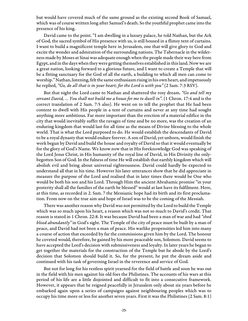but would have covered much of the same ground as the existing second Book of Samuel, which was of course written long after Samuel's death. So the youthful prophet came into the presence of his king.

David came to the point. "I am dwelling in a luxury palace, he told Nathan, but the Ark of God, the sacred symbol of His presence with us, is still housed in a flimsy tent of curtains. I want to build a magnificent temple here in Jerusalem, one that will give glory to God and excite the wonder and admiration of the surrounding nations. The Tabernacle in the wilderness made by Moses at Sinai was adequate enough when the people made their way here from Egypt, and in the days when they were getting themselves established in this land. Now we are a great nation, looking forward to a glorious future, and I want to create a Temple that will be a fitting sanctuary for the God of all the earth, a building to which all men can come to worship." Nathan, listening, felt the same enthusiasm rising in his own heart, and impetuously he replied, "Go, do all that is in your heart; for the Lord is with you" (2 Sam. 7:3 RSV).

But that night the Lord came to Nathan and shattered the rosy dream. "Go and tell  $m\gamma$ servant David, ... You shall not build me a house for me to dwell in". (1 Chron. 17:4 and is the correct translation of 2 Sam. 7:5 also). He went on to tell the prophet that He had been content to dwell with His people in a tent of curtains and never at any time had sought anything more ambitious. Far more important than the erection of a material edifice in the city that would inevitably suffer the ravages of time and be no more, was the creation of an enduring kingdom that would last for all time as the means of Divine blessing to the whole world. That is what the Lord purposed to do. He would establish the descendants of David to be a royal dynasty that would endure forever. A son of David, yet unborn, would finish the work begun by David and build the house and royalty of David so that it would eventually be for the glory of God's Name. We know now that in His foreknowledge God was speaking of the Lord Jesus Christ, in His humanity of the royal line of David, in His Divinity the onlybegotten Son of God. In the fulness of time He will establish that earthly kingdom which will abolish evil and bring about universal righteousness. David could hardly be expected to understand all that in his time. However his later utterances show that he did appreciate in measure the purpose of the Lord and realised that in later times there would be One who would be both his son and his Lord. Through Him the ancient Abrahamic promise "in your posterity shall all the families of the earth be blessed" would at last have its fulfilment. Here, at this time, as recorded in 2. Sam. 7 the Messianic hope had its birth and its first proclamation. From now on the true aim and hope of Israel was to be the coming of the Messiah.

There was another reason why David was not permitted by the Lord to build the Temple which was so much upon his heart, a reason which was not so much to David's credit. That reason is stated in 1 Chron. 22:8. It was because David had been a man of war and had "shed blood abundantly" in God's sight. The Temple of the city of peace must be built by a man of peace, and David had not been a man of peace. His warlike propensities led him into many a course of action that exceeded by far the commissions given him by the Lord. The honour he coveted would, therefore, be gained by his more peaceable son, Solomon. David seems to have accepted the Lord's decision with submissiveness and loyalty. In later years he began to get together the materials for the construction of the Temple but he abode by the Lord's decision that Solomon should build it. So, for the present, he put the dream aside and continued with his task of governing Israel in the reverence and service of God.

But not for long for his restless spirit yearned for the field of battle and soon he was out in the field with his men against his old foes the Philistines. The accounts of his wars at this period of his life are a little disjointed and difficult to fit into a consecutive framework. However, it appears that he reigned peacefully in Jerusalem only about six years before he embarked again upon a series of campaigns against neighbouring peoples which was to occupy his time more or less for another seven years. First it was the Philistines (2 Sam. 8:1)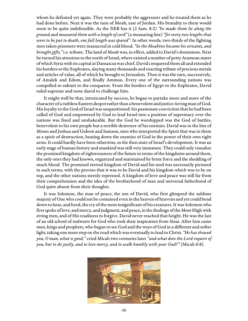whom he defeated yet again. They were probably the aggressors and he treated them as he had done before. Next it was the turn of Moab, east of Jordan. His brutality to them would seem to be quite indefensible. As the NEB has it (2 Sam. 8:2) "he made them lie along the ground and measured them with a length of cord" (a measuring line) "for every two lengths that were to be put to death, one full length was spared". In other words, two-thirds of the fighting men taken prisoners were massacred in cold blood. "So the Moabites became his servants, and brought gifts," i.e. tribute. The land of Moab was, in effect, added to David's dominions. Next he turned his attention to the north of Israel, where existed a number of petty Aramean states of which Syria with its capital at Damascus was chief. David conquered them all and extended his borders to the Euphrates, slaying many thousands and exacting tribute of precious metals and articles of value, all of which he brought to Jerusalem. Then it was the turn, successively, of Amalek and Edom, and finally Ammon. Every one of the surrounding nations was compelled to submit to the conqueror. From the borders of Egypt to the Euphrates, David ruled supreme and none dared to challenge him.

It might well be that, intoxicated by success, he began to partake more and more of the character of a ruthless Eastern despot rather than a benevolent and justice-loving man of God. His loyalty to the God of Israel was unquestioned: his passionate conviction that he had been called of God and empowered by God to lead Israel into a position of supremacy over the nations was fixed and unshakeable. But the God he worshipped was the God of battles, benevolent to his own people but a terrible destroyer of his enemies. David was in the line of Moses and Joshua and Gideon and Samson, men who interpreted the Spirit that was in them as a spirit of destruction, beating down the enemies of God in the power of their own right arms. It could hardly have been otherwise, in the then state of Israel's development. It was an early stage of human history and mankind was still very immature. They could only visualize the promised kingdom of righteousness of the future in terms of the kingdoms around them, the only ones they had known, organized and maintained by brute force and the shedding of much blood. The promised eternal kingdom of David and his seed was necessarily pictured in such terms, with the proviso that it was to be David and his kingdom which was to be on top, and the other nations sternly repressed. A kingdom of love and peace was still far from their comprehension and the idea of the brotherhood of man and universal fatherhood of God quite absent from their thoughts.

It was Solomon, the man of peace, the son of David, who first glimpsed the sublime majesty of One who could not be contained even in the heaven of heavens and yet could bend down to hear, and heed, the cry of the most insignificant of his creatures. It was Solomon who first spoke of love, and mercy, and judgment, and peace, in the dealings of the Most High with erring men, and of His readiness to forgive. David never reached that height. He was the last of an old school of stalwarts for God who took their inspiration from Sinai. After him came men, kings and prophets, who began to see God and the ways of God in a different and softer light, taking one more step on the road which was eventually to lead to Christ. "He has showed you, O man, what is good;" cried Micah two centuries later "and what does the Lord require of you, but to do justly, and to love mercy, and to walk humbly with your God?" (Micah 6:8).

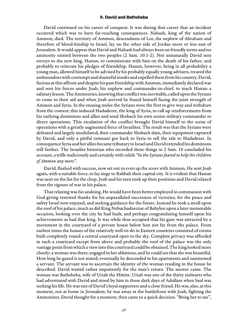#### **9. David and Bathsheba**

David continued on his career of conquest. It was during that career that an incident occurred which was to have far-reaching consequences. Nahash, king of the nation of Ammon, died. The territory of Ammon, descendants of Lot, the nephew of Abraham and therefore of blood-kinship to Israel, lay on the other side of Jordan more or less east of Jerusalem. It would appear that David and Nahash had always been on friendly terms and no animosity existed between the two peoples (2 Sam. 10:1-2). Not unnaturally David sent envoys to the new king, Hanun, to commiserate with him on the death of his father, and probably to reiterate his pledges of friendship. Hanun, however, being in all probability a young man, allowed himself to be advised by his probably equally young advisers, treated the ambassadors with contempt and shameful insults and expelled them from his country. David, furious at this affront and despite his past friendship with Ammon, immediately declared war and sent his forces under Joab, his nephew and commander-in-chief, to teach Hanun a salutary lesson. The Ammonites, knowing that conflict was inevitable, called upon the Syrians to come to their aid and when Joab arrived he found himself facing the joint strength of Ammon and Syria. In the ensuing melee the Syrians were the first to give way and withdraw from the contest; this induced Hadadezer, the king of Syria, to call up reinforcements from his outlying dominions and allies and send Shobach his own senior military commander to direct operations. This escalation of the conflict brought David himself to the scene of operations with a greatly augmented force of Israelites. The result was that the Syrians were defeated and largely annihilated, their commander Shobach slain, their equipment captured by David, and only a pitiful remnant got back to Syria to tell the tale to Hadadezer. In consequence Syria and her allies became tributary to Israel and David extended his dominions still farther. The Israelite historian who recorded these things in 2 Sam. 10 concluded his account, a trifle maliciously and certainly with relish "So the Syrians feared to help the children of Ammon any more".

David, flushed with success, now set out to even up the score with Ammon. He sent Joab again, with a suitable force, to lay siege to Rabbah their capital city. It is evident that Hanun was next on the list for the chop. Joab and his men took up their positions and David relaxed from the rigours of war in his palace.

That relaxing was his undoing. He would have been better employed in communion with God giving renewed thanks for his unparalleled succession of victories, for the peace and safety Israel now enjoyed, and seeking guidance for the future. Instead he took a stroll upon the roof of his palace, much as did King Nebuchadnezzar of Babylon upon a later memorable occasion, looking over the city he had built, and perhaps congratulating himself upon his achievements as had that king. It was while thus occupied that his gaze was attracted by a movement in the courtyard of a private house below him not far from the palace. From earliest times the houses of the relatively well-to-do in Eastern countries consisted of rooms built completely round a central courtyard open to the sky. Complete privacy was afforded in such a courtyard except from above and probably the roof of the palace was the only vantage point from which a view into this courtyard could be obtained. The king looked more closely; a woman was there, engaged in her ablutions, and he could see that she was beautiful. How long he gazed is not stated; eventually he descended to his apartments and summoned a servant. The servant was to ascertain the identity of the woman residing in the house he described. David waited rather impatiently for the man's return. The answer came. The woman was Bathsheba, wife of Uriah the Hittite. Uriah was one of the thirty stalwarts who had adventured with David and stood by him in those dark days of Adullam when Saul was seeking his life. He was one of David's loyal supporters and a close friend. He was, also, at this moment, not at home in Jerusalem; he was away at the battlefront with Joab, fighting the Ammonites. David thought for a moment, then came to a quick decision. "Bring her to me",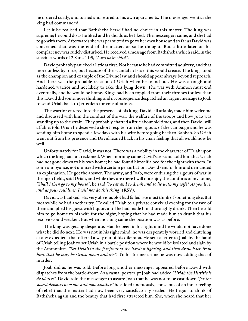he ordered curtly, and turned and retired to his own apartments. The messenger went as the king had commanded.

Let it be realised that Bathsheba herself had no choice in this matter. The king was supreme; he could do as he liked and he did do as he liked. The messengers came, and she had to go with them. Afterwards she was permitted to go to her own house and so far as David was concerned that was the end of the matter, or so he thought. But a little later on his complacency was rudely disturbed. He received a message from Bathsheba which said, in the succinct words of 2 Sam. 11:5, "I am with child".

David probably panicked a little at first. Not because he had committed adultery, and that more or less by force, but because of the scandal in Israel this would create. The king stood as the champion and example of the Divine law and should appear always beyond reproach. And there was the probable reaction of Uriah when he found out. He was a tough and hardened warrior and not likely to take this lying down. The war with Ammon must end eventually, and he would be home. Kings had been toppled from their thrones for less than this. David did some more thinking and in consequence despatched an urgent message to Joab to send Uriah back to Jerusalem for consultations.

The warrior entered into the presence of his king. David, all affable, made him welcome and discussed with him the conduct of the war, the welfare of the troops and how Joab was standing up to the strain. They probably chatted a little about old times, and then David, still affable, told Uriah he deserved a short respite from the rigours of the campaign and he was sending him home to spend a few days with his wife before going back to Rabbah. So Uriah went out from his presence and David leaned back in his chair feeling that all would now be well.

Unfortunately for David, it was not. There was a nobility in the character of Uriah upon which the king had not reckoned. When morning came David's servants told him that Uriah had not gone down to his own home; he had found himself a bed for the night with them. In some annoyance, not unmixed with a certain perturbation, David sent for him and demanded an explanation. He got the answer. The army, and Joab, were enduring the rigours of war in the open fields, said Uriah, and while they are there I will not enjoy the comforts of my home, "Shall I then go to my house", he said "to eat and to drink and to lie with my wife? As you live, and as your soul lives, I will not do this thing" (RSV).

David was baulked. His very obvious plot had failed. He must think of something else. But meanwhile he had another try. He called Uriah to a private convivial evening for the two of them and plied his guest with liquor, until he had made him thoroughly drunk. Then he told him to go home to his wife for the night, hoping that he had made him so drunk that his resolve would weaken. But when morning came the position was as before.

The king was getting desperate. Had he been in his right mind he would not have done what he did do next. He was not in his right mind; he was desperately worried and clutching at any expedient that offered a way out of his dilemma. He sent a letter to Joab by the hand of Uriah telling Joab to set Uriah in a battle position where he would be isolated and slain by the Ammonites. "Set Uriah in the forefront of the hardest fighting, and then draw back from him, that he may be struck down and die". To his former crime he was now adding that of murder.

Joab did as he was told. Before long another messenger appeared before David with dispatches from the battle-front. As a casual postscript Joab had added "Uriah the Hittitie is dead also". David told the messenger to assure Joab that he was not to be cast down "for the sword devours now one and now another" he added unctuously, conscious of an inner feeling of relief that the matter had now been very satisfactorily settled. He began to think of Bathsheba again and the beauty that had first attracted him. She, when she heard that her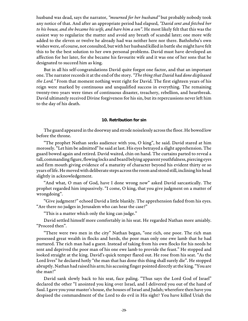husband was dead, says the narrator, "mourned for her husband" but probably nobody took any notice of that. And after an appropriate period had elapsed, "David sent and fetched her to his house, and she became his wife, and bare him a son". He most likely felt that this was the easiest way to regularize the matter and avoid any breath of scandal later; one more wife added to the eleven or twelve he already had was neither here nor there. Bathsheba's own wishes were, of course, not consulted, but with her husband killed in battle she might have felt this to be the best solution to her own personal problems. David must have developed an affection for her later, for she became his favourite wife and it was one of her sons that he designated to succeed him as king.

But in all his self-congratulations David quite forgot one factor, and that an important one. The narrator records it at the end of the story. "The thing that David had done displeased the Lord." From that moment nothing went right for David. The first eighteen years of his reign were marked by continuous and unqualified success in everything. The remaining twenty-two years were times of continuous disaster, treachery, rebellion, and heartbreak. David ultimately received Divine forgiveness for his sin, but its repercussions never left him to the day of his death.

#### **10. Retribution for sin**

The guard appeared in the doorway and strode noiselessly across the floor. He bowed low before the throne.

"The prophet Nathan seeks audience with you, O king", he said. David stared at him morosely. "Let him be admitted" he said at last. His eyes betrayed a slight apprehension. The guard bowed again and retired. David waited, chin on hand. The curtains parted to reveal a tall, commanding figure, flowing locks and beard belying apparent youthfulness, piercing eyes and firm mouth giving evidence of a maturity of character beyond his evident thirty or so years of life. He moved with deliberate steps across the room and stood still, inclining his head slightly in acknowledgement.

"And what, O man of God, have I done wrong now" asked David sarcastically. The prophet regarded him impassively. "I come, O king, that you give judgment on a matter of wrongdoing".

"Give judgment?" echoed David a little blankly. The apprehension faded from his eyes. "Are there no judges in Jerusalem who can hear the case?"

"This is a matter which only the king can judge."

David settled himself more comfortably in his seat. He regarded Nathan more amiably. "Proceed then".

"There were two men in the city" Nathan began, "one rich, one poor. The rich man possessed great wealth in flocks and herds, the poor man only one ewe lamb that he had nurtured. The rich man had a guest. Instead of taking from his own flocks for his needs he sent and deprived the poor man of his one ewe lamb to provide the feast." He stopped and looked straight at the king. David's quick temper flared out. He rose from his seat. "As the Lord lives" he declared hotly "the man that has done this thing shall surely die". He stopped abruptly. Nathan had raised his arm; his accusing finger pointed directly at the king. "You are the man!"

David sank slowly back to his seat, face paling. "Thus says the Lord God of Israel" declared the other "I anointed you king over Israel, and I delivered you out of the hand of Saul. I gave you your master's house, the houses of Israel and Judah; wherefore then have you despised the commandment of the Lord to do evil in His sight? You have killed Uriah the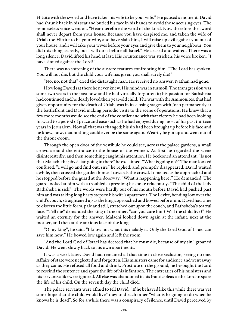Hittite with the sword and have taken his wife to be your wife." He paused a moment. David had shrunk back in his seat and buried his face in his hands to avoid those accusing eyes. The remorseless voice went on. "Hear therefore the word of the Lord. Now therefore the sword shall never depart from your house. Because you have despised me, and taken the wife of Uriah the Hittite to be your wife, and have slain him, I will raise up evil against you out of your house, and I will take your wives before your eyes and give them to your neighbour. You did this thing secretly, but I will do it before all Israel." He ceased and waited. There was a long silence. David lifted his head at last. His countenance was stricken; his voice broken. "I have sinned against the Lord!"

There was no softening of the austere features confronting him. "The Lord has spoken. You will not die, but the child your wife has given you shall surely die!"

"No, no, not that" cried the distraught man. He received no answer. Nathan had gone.

How long David sat there he never knew. His mind was in turmoil. The transgression was some two years in the past now and he had virtually forgotten it; his passion for Bathsheba had continued and he dearly loved their year-old child. The war with the Ammonites, that had given opportunity for the death of Uriah, was in its closing stages with Joab permanently at the battlefront and David making periodic visits to the scene of operations. He knew that a few more months would see the end of the conflict and with that victory he had been looking forward to a period of peace and ease such as he had enjoyed during most of his past thirteen years in Jerusalem. Now all that was changed; his sin had been brought up before his face and he knew, now, that nothing could ever be the same again. Wearily he got up and went out of the throne-room.

Through the open door of the vestibule he could see, across the palace gardens, a small crowd around the entrance to the house of the women. At first he regarded the scene disinterestedly, and then something caught his attention. He beckoned an attendant. "Is not that Malachi the physician going in there" he exclaimed, "What is going on?" The man looked confused. "I will go and find out, sire" he replied, and promptly disappeared. David waited awhile, then crossed the garden himself towards the crowd. It melted as he approached and he stopped before the guard at the doorway. "What is happening here?" He demanded. The guard looked at him with a troubled expression; he spoke reluctantly. "The child of the lady Bathsheba is sick". The words were hardly out of his mouth before David had pushed past him and was taking long hasty steps to his wife's apartment. The Levite, bending low over the child's couch, straightened up as the king approached and bowed before him. David had time to discern the little form, pale and still, stretched out upon the couch, and Bathsheba's tearful face. "Tell me" demanded the king of the other, "can you cure him? Will the child live?" He waited an eternity for the answer. Malachi looked down again at the infant, next at the mother, and then at the anxious face of the king.

"O my king", he said, "I know not what this malady is. Only the Lord God of Israel can save him now." He bowed low again and left the room.

"And the Lord God of Israel has decreed that he must die, because of my sin" groaned David. He went slowly back to his own apartments.

It was a week later. David had remained all that time in close seclusion, seeing no one. Affairs of state were neglected and forgotten. His ministers came for audience and went away as they came. He refused all food and drink. Prostrate on the ground, he besought the Lord to rescind the sentence and spare the life of his infant son. The entreaties of his ministers and his servants alike were ignored. All else was abandoned in his frantic pleas to the Lord to spare the life of his child. On the seventh day the child died.

The palace servants were afraid to tell David. "If he behaved like this while there was yet some hope that the child would live" they told each other "what is he going to do when he knows he is dead". So for a while there was a conspiracy of silence, until David perceived by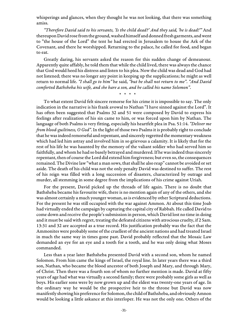whisperings and glances, when they thought he was not looking, that there was something amiss.

"Therefore David said to his servants, 'Is the child dead?' And they said, 'he is dead!'" And thereupon David rose from the ground, washed himself and donned fresh garments, and went to "the house of the Lord" the tent he had erected in Jerusalem to house the Ark of the Covenant, and there he worshipped. Returning to the palace, he called for food, and began to eat.

Greatly daring, his servants asked the reason for this sudden change of demeanour. Apparently quite affably, he told them that while the child lived, there was always the chance that God would heed his distress and listen to his plea. Now the child was dead and God had not listened; there was no longer any point in keeping up the supplications; he might as well return to normal life. "I shall go to him" he said, "but he shall not return to me". "And David comforted Bathsheba his wife, and she bare a son, and he called his name Solomon".

\* \* \* \*

To what extent David felt sincere remorse for his crime it is impossible to say. The only indication in the narrative is his frank avowal to Nathan "I have sinned against the Lord". It has often been suggested that Psalms 32 and 51 were composed by David to express his feelings after realization of his sin came to him, or was forced upon him by Nathan. The language of both Psalms is very fitting, especially his heartfelt plea in Psa. 51:14. "Deliver me from blood-guiltiness, O God". In the light of those two Psalms it is probably right to conclude that he was indeed remorseful and repentant, and sincerely regretted the momentary weakness which had led him astray and involved him in so grievous a calamity. It is likely that for the rest of his life he was haunted by the memory of the valiant soldier who had served him so faithfully, and whom he had so basely betrayed and murdered. If he was indeed thus sincerely repentant, then of course the Lord did extend him forgiveness; but even so, the consequences remained. The Divine law "what a man sows, that shall he also reap" cannot be avoided or set aside. The death of his child was not the only penalty David was destined to suffer. The rest of his reign was filled with a long succession of disasters, characterized by outrage and murder, all stemming in some degree from the implications of his crime against Uriah.

For the present, David picked up the threads of life again. There is no doubt that Bathsheba became his favourite wife, there is no mention again of any of the others, and she was almost certainly a much younger woman, as is evidenced by other Scriptural deductions. For the present he was still occupied with the war against Ammon. At about this time Joab had virtually ended the campaign by capturing the capital city of Rabbah. He called David to come down and receive the people's submission in person, which David lost no time in doing and it must be said with regret, treating the defeated citizens with atrocious cruelty, if 2 Sam. 13:31 and 32 are accepted as a true record. His justification probably was the fact that the Ammonites were probably some of the cruellest of the ancient nations and had treated Israel in much the same way in times gone past. David probably reflected that the Mosaic Law demanded an eye for an eye and a tooth for a tooth, and he was only doing what Moses commanded.

Less than a year later Bathsheba presented David with a second son, whom he named Solomon. From him came the kings of Israel, the royal line. In later years there was a third son, Nathan, who became the blood ancestor of both Joseph and Mary, and through Mary, of Christ. Then there was a fourth son of whom no further mention is made. David at fifty years of age had what was virtually a second family; there were probably some girls as well as boys. His earlier sons were by now grown up and the eldest was twenty-one years of age. In the ordinary way he would be the prospective heir to the throne but David was now manifestly showing his preference for Solomon, the child of Bathsheba, and obviously Amnon would be looking a little askance at this interloper. He was not the only one. Others of the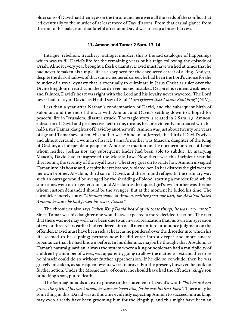older sons of David had their eyes on the throne and here were all the seeds of the conflict that led eventually to the murder of at least three of David's sons. From that casual glance from the roof of his palace on that fateful afternoon David was to reap a bitter harvest.

#### **11. Amnon and Tamar 2 Sam. 13-14**

Intrigue, rebellion, treachery, outrage, murder; this is the sad catalogue of happenings which was to fill David's life for the remaining years of his reign following the episode of Uriah. Almost every year brought a fresh calamity; David must have wished at times that he had never forsaken his simple life as a shepherd for the chequered career of a king. And yet, despite the dark shadows of that same chequered career, he had been the Lord's choice for the founder of a royal dynasty that is eventually to culminate in Jesus Christ as ruler over the Divine kingdom on earth, and the Lord never makes mistakes. Despite his evident weaknesses and failures, David's heart was right with the Lord and his loyalty never wavered. The Lord never had to say of David, as He did say of Saul "I am grieved that I made Saul king" (NIV).

Less than a year after Nathan's condemnation of David, and the subsequent birth of Solomon, and the end of the war with Amnon, and David's settling down to a hoped-for peaceful life in Jerusalem, disaster struck. The tragic story is related in 2 Sam. 13. Amnon, eldest son of David and prospective heir to the, throne, became violently infatuated with his half-sister Tamar, daughter of David by another wife. Amnon was just about twenty one years of age and Tamar seventeen. His mother was Ahinoam of Jezreel, the third of David's wives and almost certainly a woman of Israel. Tamar's mother was Maacah, daughter of the King of Geshur, an independent people of Amorite extraction on the northern borders of Israel whom neither Joshua nor any subsequent leader had been able to subdue. In marrying Maacah, David had transgressed the Mosaic Law. Now there was this incipient scandal threatening the serenity of the royal house. The story goes on to relate how Amnon inveigled Tamar into his house and, despite her resistance, violated her. In her distress the girl went to her own brother, Absalom, third son of David, and there found refuge. In the ordinary way such an outrage would be avenged by the shedding of blood, starting a murder feud which sometimes went on for generations, and Absalom as the injured girl's own brother was the one whom custom demanded should be the avenger. But at the moment he bided his time. The chronicler merely states "Absalom spoke to Amnon, neither good nor bad; for Absalom hated Amnon, because he had forced his sister Tamar".

The chronicler also says "when King David heard of all these things, he was very wroth". Since Tamar was his daughter one would have expected a more decided reaction. The fact that there was not may well have been due to an inward realization that his own transgression of two or three years earlier had rendered him of all men unfit to pronounce judgment on the offender. David must have been sick at heart as he pondered over the disorder into which his life seemed to be slipping; perhaps now he did enter into a deeper and more sincere repentance than he had known before. In his dilemma, maybe he thought that Absalom, as Tamar's natural guardian, always the system where a king or nobleman had a multiplicity of children by a number of wives, was apparently going to allow the matter to rest and therefore he himself could do so without further apprehension. If he did so conclude, then he was gravely mistaken, as subsequent events were to prove. For the present, however, he took no further action. Under the Mosaic Law, of course, he should have had the offender, king's son or no king's son, put to death.

The Septuagint adds an extra phrase to the statement of David's wrath "but he did not grieve the spirit of his son Amnon, because he loved him, for he was his first-born". There may be something in this. David was at this time evidently expecting Amnon to succeed him as king, may even already have been grooming him for the kingship, and this might have been an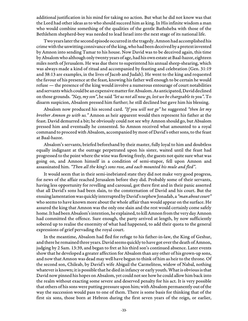additional justification in his mind for taking no action. But what he did not know was that the Lord had other ideas as to who should succeed him as king. In His infinite wisdom a man who would combine something of the qualities of the gentle Bathsheba with those of the Bethlehem shepherd-boy was needed to lead Israel into the next stage of its national life.

Two years later the second episode occurred in the tragedy. Amnon had accomplished his crime with the unwitting connivance of the king, who had been deceived by a pretext invented by Amnon into sending Tamar to his house. Now David was to be deceived again, this time by Absalom who although only twenty years of age, had his own estate at Baal-hazor, eighteen miles north of Jerusalem. He was due there to superintend his annual sheep-shearing, which was always made a kind of ritual and accompanied by feasting and celebration (Gen. 31:19 and 38:13 are examples, in the lives of Jacob and Judah). He went to the king and requested the favour of his presence at the feast, knowing his father well enough to be certain he would refuse — the presence of the king would involve a numerous entourage of court notabilities and servants which could be an expensive matter for Absalom. As anticipated, David declined on those grounds. "Nay, my son", he said "let us not all now go, lest we be chargeable to you". To disarm suspicion, Absalom pressed him further; he still declined but gave him his blessing.

Absalom now produced his second card. "If you will not go" he suggested "then let my brother Amnon go with us." Amnon as heir apparent would then represent his father at the feast. David demurred a bit; he obviously could not see why Amnon should go, but Absalom pressed him and eventually he consented. So Amnon received what amounted to a royal command to proceed with Absalom, accompanied by most of David's other sons, to the feast at Baal-hazor.

Absalom's servants, briefed beforehand by their master, fully loyal to him and doubtless equally indignant at the outrage perpetrated upon his sister, waited until the feast had progressed to the point where the wine was flowing freely, the guests not quite sure what was going on, and Amnon himself in a condition of semi-stupor, fell upon Amnon and assassinated him. "Then all the king's sons rose, and each mounted his mule and fled".

It would seem that in their semi-inebriated state they did not make very good progress, for news of the affair reached Jerusalem before they did. Probably some of their servants, having less opportunity for revelling and carousal, got there first and in their panic asserted that all David's sons had been slain, to the consternation of David and his court. But the ensuing lamentation was quickly interrupted by David's nephew Jonadab, a "man about court" who seems to have known more about the whole affair than would appear on the surface. He assured the king that Amnon was the only one slain and the rest would certainly come safely home. It had been Absalom's intention, he explained, to kill Amnon from the very day Amnon had committed the offence. Sure enough, the party arrived at length, by now sufficiently sobered up to realise the enormity of what had happened, to add their quota to the general expressions of grief pervading the royal court.

In the meantime, Absalom had fled for refuge to his father-in-law, the King of Geshur, and there he remained three years. David seems quickly to have got over the death of Amnon, judging by 2 Sam. 13:39, and began to fret at his third son's continued absence. Later events show that he developed a greater affection for Absalom than any other of his grown-up sons, and now that Amnon was dead may well have begun to think of him as heir to the throne. Of the second son, Chileab, by David's wife Abigail the Carmelitess, widow of Nabal, nothing whatever is known; it is possible that he died in infancy or early youth. What is obvious is that David now pinned his hopes on Absalom, yet could not see how he could allow him back into the realm without exacting some severe and deserved penalty for his act. It is very possible that others of his sons were putting pressure upon him; with Absalom permanently out of the way the succession would pass to one of them. There is some basis for thinking that of the first six sons, those born at Hebron during the first seven years of the reign, or earlier,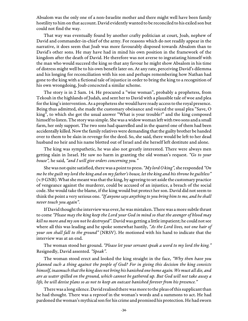Absalom was the only one of a non-Israelite mother and there might well have been family hostility to him on that account. David evidently wanted to be reconciled to his exiled son but could not find the way.

That way was eventually found by another crafty politician at court, Joab, nephew of David and commander-in-chief of the army. For reasons which do not readily appear in the narrative, it does seem that Joab was more favourably disposed towards Absalom than to David's other sons. He may have had in mind his own position in the framework of the kingdom after the death of David. He therefore was not averse to ingratiating himself with the man who would succeed the king so that any favour he might show Absalom in his time of distress might well be to his own benefit later on. At any rate, perceiving David's dilemma and his longing for reconciliation with his son and perhaps remembering how Nathan had gone to the king with a fictional tale of injustice in order to bring the king to a recognition of his own wrongdoing, Joab concocted a similar scheme.

The story is in 2 Sam. 14. He procured a "wise woman", probably a prophetess, from Tekoah in the highlands of Judah, and sent her to David with a plausible tale of woe and plea for the king's intervention. As a prophetess she would have ready access to the royal presence. Being thus admitted, she made the customary obeisance and voiced the usual plea "Save, O king", to which she got the usual answer "What is your trouble?" and the king composed himself to listen. The story was simple. She was a widow woman left with two sons and a small farm, her only support. The two sons had quarrelled and in the quarrel one of them had been accidentally killed. Now the family relatives were demanding that the guilty brother be handed over to them to be slain in revenge for the deed. So, she said, there would be left to her dead husband no heir and his name blotted out of Israel and she herself left destitute and alone.

The king was sympathetic, he was also not greatly interested. There were always men getting slain in Israel. He saw no harm in granting the old woman's request. "Go to your house", he said, "and I will give orders concerning you."

She was not quite satisfied, there was a point to press. "My lord O king", she responded "On me be the guilt my lord the king and on my father's house, let the king and his throne be guiltless" (v.9 GNB). What she meant was that the king, by agreeing to set aside the customary practice of vengeance against the murderer, could be accused of an injustice, a breach of the social code. She would take the blame, if the king would but protect her son. David did not seem to think the point a very serious one. "If anyone says anything to you bring him to me, and he shall never touch you again".

If David thought the interview was over, he was mistaken. There was a more subtle thrust to come "Please may the king keep the Lord your God in mind so that the avenger of blood may kill no more and my son not be destroyed". David was getting a little impatient; he could not see where all this was leading and he spoke somewhat hastily, "As the Lord lives, not one hair of your son shall fall to the ground" (NRSV). He motioned with his hand to indicate that the interview was at an end.

The woman stood her ground. "Please let your servant speak a word to my lord the king." Resignedly, David assented. "Speak".

The woman stood erect and looked the king straight in the face, "Why then have you planned such a thing against the people of God? For in giving this decision the king convicts himself, inasmuch that the king does not bring his banished one home again. We must all die, and are as water spilled on the ground, which cannot be gathered up. But God will not take away a life, he will devise plans so as not to keep an outcast banished forever from his presence."

There was a long silence. David realised there was more to the pleas of this supplicant than he had thought. There was a reproof in the woman's words and a summons to act. He had pardoned the woman's mythical son for his crime and promised his protection. He had sworn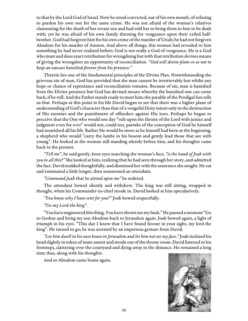to that by the Lord God of Israel. Now he stood convicted, out of his own mouth, of refusing to pardon his own son for the same crime. He was not afraid of the woman's relatives clamouring for the death of her errant son and had told her to bring them to him to be dealt with; yet he was afraid of his own family thirsting for vengeance upon their exiled halfbrother. God had forgiven him for his own crime of the murder of Uriah; he had not forgiven Absalom for his murder of Amnon. And above all things, this woman had revealed to him something he had never realised before; God is not really a God of vengeance. He is a God who must and does exact retribution for wrongdoing but with that retribution devises means of giving the wrongdoer an opportunity of reconciliation. "God will devise plans so as not to keep an outcast banished forever from his presence."

Therein lies one of the fundamental principles of the Divine Plan. Notwithstanding the grievous sin of man, God has provided that the man cannot be irretrievably lost whilst any hope or chance of repentance and reconciliation remains. Because of sin, man is banished from the Divine presence but God has devised means whereby the banished one can come back, if he will. And the Father stands ready to meet him; the parable of the Prodigal Son tells us that. Perhaps at this point in his life David began to see that there was a higher plane of understanding of God's character than that of a vengeful Deity intent only in the destruction of His enemies and the punishment of offenders against His laws. Perhaps he began to perceive that the One who would one day "rule upon the throne of the Lord with justice and judgment even for ever" would not, could not, partake of the conception of God he himself had nourished all his life. Rather He would be more as he himself had been at the beginning, a shepherd who would "carry the lambs in his bosom and gently lead those that are with young". He looked at the woman still standing silently before him, and his thoughts came back to the present.

"Tell me", he said gently, keen eyes searching the woman's face, "is the hand of Joab with you in all this?" She looked at him, realizing that he had seen through her story, and admitted the fact. David nodded thoughtfully, and dismissed her with the assurance she sought. He sat and ruminated a little longer, then summoned an attendant.

"Command Joab that he attend upon me" he ordered.

The attendant bowed silently and withdrew. The king was still sitting, wrapped in thought, when his Commander-in-chief strode in. David looked at him speculatively.

"You know why I have sent for you?" Joab bowed respectfully.

"Yes my Lord the king".

"You have engineered this thing. You have shown me my fault." He paused a moment "Go to Geshur and bring my son Absalom back to Jerusalem again. Joab bowed again, a light of triumph in his eyes. "This day I know that I have found favour in your sight, my lord the king". He turned to go; he was arrested by an imperious gesture from David.

"Let him dwell in his own house in Jerusalem and let him not see my face." Joab inclined his head slightly in token of mute assent and strode out of the throne room. David listened to his footsteps, clattering over the courtyard and dying away in the distance. He remained a long time thus, along with his thoughts.

And so Absalom came home again.

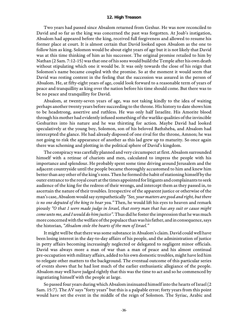#### **12. High Treason**

Two years had passed since Absalom returned from Geshur. He was now reconciled to David and so far as the king was concerned the past was forgotten. At Joab's instigation, Absalom had appeared before the king, received full forgiveness and allowed to resume his former place at court. It is almost certain that David looked upon Absalom as the one to follow him as king. Solomon would be about eight years of age but it is not likely that David was at this time thinking of him as his successor. The original promise retailed to him by Nathan (2 Sam. 7:12-15) was that one of his sons would build the Temple after his own death without stipulating which one it would be. It was only towards the close of his reign that Solomon's name became coupled with the promise. So at the moment it would seem that David was resting content in the feeling that the succession was assured in the person of Absalom. He, at fifty-eight years of age, could look forward to a reasonable term of years of peace and tranquillity as king over the nation before his time should come. But there was to be no peace and tranquillity for David.

Absalom, at twenty-seven years of age, was not taking kindly to the idea of waiting perhaps another twenty years before succeeding to the throne. His history to date shows him to be headstrong, assertive and ruthless. He was only half Israelite. His Amorite blood through his mother had evidently infused something of the warlike qualities of the invincible Geshurites into his nature and he was thirsting for action. Maybe David had looked speculatively at the young boy, Solomon, son of his beloved Bathsheba, and Absalom had intercepted the glance. He had already disposed of one rival for the throne, Amnon; he was not going to risk the appearance of another as this lad grew up to maturity. So once again there was scheming and plotting in the political sphere of David's kingdom.

The conspiracy was carefully planned and very circumspect at first. Absalom surrounded himself with a retinue of chariots and men, calculated to impress the people with his importance and splendour. He probably spent some time driving around Jerusalem and the adjacent countryside until the people became thoroughly accustomed to him and knew him better than any other of the king's sons. Then he formed the habit of stationing himself by the outer entrance to the royal court at the times appointed for litigants and complainants to seek audience of the king for the redress of their wrongs, and intercept them as they passed in, to ascertain the nature of their troubles. Irrespective of the apparent justice or otherwise of the man's case, Absalom would say sympathetically "See, your matters are good and right, but there is no one deputed of the king to hear you." Then, he would lift his eyes to heaven and remark piously "O that 1 were made judge in Israel, that every man that has any suit or cause might come unto me, and I would do him justice". Thus did he foster the impression that he was much more concerned with the welfare of the populace than was his father, and in consequence, says the historian, "Absalom stole the hearts of the men of Israel."

It might well be that there was some substance in Absalom's claim. David could well have been losing interest in the day-to-day affairs of his people, and the administration of justice in petty affairs becoming increasingly neglected or delegated to negligent minor officials. David was always more a man of war than a man of peace and his almost continual pre-occupation with military affairs, added to his own domestic troubles, might have led him to relegate other matters to the background. The eventual outcome of this particular series of events shows that he had lost much of the earlier enthusiastic allegiance of the people. Absalom may well have judged rightly that this was the time to act and so he commenced by ingratiating himself with the people at large.

So passed four years during which Absalom insinuated himself into the hearts of Israel (2 Sam. 15:7). The AV says "forty years" but this is a palpable error; forty years from this point would have set the event in the middle of the reign of Solomon. The Syriac, Arabic and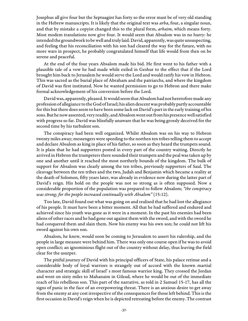Josephus all give four but the Septuagint has forty so the error must be of very old standing in the Hebrew manuscripts. It is likely that the original text was *arba*, four, a singular noun, and that by mistake a copyist changed this to the plural form, arbaim, which means forty. Most modem translations now give four. It would seem that Absalom was in no hurry: he intended the groundwork to be well and truly laid. David, apparently, was quite unsuspecting, and feeling that his reconciliation with his son had cleared the way for the future, with no more wars in prospect, he probably congratulated himself that life would from then on be serene and peaceful.

At the end of the four years Absalom made his bid. He first went to his father with a plausible tale of a vow he had made while exiled in Geshur to the effect that if the Lord brought him back to Jerusalem he would serve the Lord and would ratify his vow in Hebron. This was sacred as the burial place of Abraham and the patriarchs, and where the kingdom of David was first instituted. Now he wanted permission to go to Hebron and there make formal acknowledgement of his conversion before the Lord.

David was, apparently, pleased. It would seem that Absalom had not heretofore made any profession of allegiance to the God of Israel; his alien descent was probably partly accountable for this but there does seem to have been some lack on David's part in the early training of his sons. But he now assented, very readily, and Absalom went out from his presence well satisfied with progress so far. David was blissfully unaware that he was being grossly deceived for the second time by his turbulent son.

The conspiracy had been well organized. Whilst Absalom was on his way to Hebron twenty miles away; messengers were speeding to the northen ten tribes telling them to accept and declare Absalom as king in place of his father, so soon as they heard the trumpets sound. It is plain that he had supporters posted in every part of the country waiting. Directly he arrived in Hebron the trumpeters there sounded their trumpets and the peal was taken up by one and another until it reached the most northerly bounds of the kingdom. The bulk of support for Absalom was clearly among the ten tribes, previously supporters of Saul. The cleavage between the ten tribes and the two, Judah and Benjamin which became a reality at the death of Solomon, fifty years later, was already in evidence now during the latter part of David's reign. His hold on the people was not so strong as is often supposed. Now a considerable proportion of the population was prepared to follow Absalom; "the conspiracy was strong; for the people increased continually with Absalom" (15:12).

Too late, David found out what was going on and realised that he had lost the allegiance of his people. It must have been a bitter moment. All that he had suffered and endured and achieved since his youth was gone as it were in a moment. In the past his enemies had been aliens of other races and he had gone out against them with the sword, and with the sword he had conquered them and slain them. Now his enemy was his own son; he could not lift his sword against his own son.

Absalom, he knew, would soon be coming to Jerusalem to assert his rulership, and the people in large measure were behind him. There was only one course open if he was to avoid open conflict; an ignominious flight out of the country without delay, thus leaving the field clear for the usurper.

The pitiful journey of David with his principal officers of State, his palace retinue and a considerable body of loyal warriors is strangely out of accord with the known martial character and strategic skill of Israel' s most famous warrior king. They crossed the Jordan and went on sixty miles to Mahanaim in Gilead, where he would be out of the immediate reach of his rebellious son. This part of the narrative, as told in 2 Samuel 15-17, has all the signs of panic in the face of an overpowering threat. There is an anxious desire to get away from the enemy at any cost irrespective of the consequences for those left behind. This is the first occasion in David's reign when he is depicted retreating before the enemy. The contrast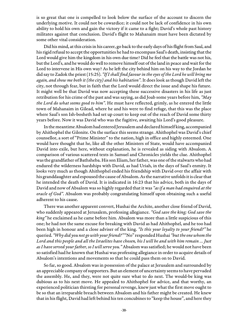is so great that one is compelled to look below the surface of the account to discern the underlying motive. It could not be cowardice; it could not be lack of confidence in his own ability to hold his own and gain the victory if it came to a fight; David's whole past history militates against that conclusion. David's flight to Mahanaim must have been dictated by some other vital consideration.

Did his mind, at this crisis in his career, go back to the early days of his flight from Saul, and his rigid refusal to accept the opportunities he had to encompass Saul's death, insisting that the Lord would give him the kingdom in his own due time? Did he feel that the battle was not his, but the Lord's, and he would do well to remove himself out of the land in peace and wait for the Lord to intervene in His own way? As he left the city behind him on his way to the Jordan he did say to Zadok the priest (15:25). "If I shall find favour in the eyes of the Lord he will bring me again, and show me both it (the city) and his habitation". It does look as though David left the city, not through fear, but in faith that the Lord would direct the issue and shape his future. It might well be that David was now accepting these successive disasters in his life as just retribution for his crime of the past and was saying, as did Joab some years before him, "May the Lord do what seems good to him". He must have reflected, grimly, as he entered the little town of Mahanaim in Gilead, where he and his were to find refuge, that this was the place where Saul's son Ish-bosheth had set up court to keep out of the reach of David some thirty years before. Now it was David who was the fugitive, awaiting his Lord's good pleasure.

In the meantime Absalom had entered Jerusalem and declared himself king, accompanied by Ahithophel the Gilonite. On the surface this seems strange. Ahithophel was David's chief counsellor, a sort of "Prime Minister" to the nation, high in office and highly esteemed. One would have thought that he, like all the other Ministers of State, would have accompanied David into exile, but here, without explanation, he is revealed as siding with Absalom. A comparison of various scattered texts in Samuel and Chronicles yields the clue. Ahithophel was the grandfather of Bathsheba. His son Eliam, her father, was one of the stalwarts who had endured the wilderness hardships with David, as had Uriah, in the days of Saul's enmity. It looks very much as though Ahithophel ended his friendship with David over the affair with his granddaughter and espoused the cause of Absalom. As the narrative unfolds it is clear that he intended the death of David. It is indicated in 16:23 that his advice, both in the days of David and now of Absalom was so highly regarded that it was "as if a man had enquired at the oracle of God". Absalom was probably congratulating himself upon obtaining such a useful adherent to his cause.

There was another apparent convert, Hushai the Archite, another close friend of David, who suddenly appeared at Jerusalem, professing allegiance. "God save the king; God save the king" he exclaimed as he came before him. Absalom was more than a little suspicious of this one; he had not the same excuse for breaking with David as had Ahithophel, and he too had been high in honour and a close adviser of the king. "Is this your loyalty to your friend?" he queried. "Why did you not go with your friend?" "No" responded Hushai "but the one whom the Lord and this people and all the Israelites have chosen, his I will be and with him remain … Just as I have served your father, so I will serve you." Absalom was satisfied; he would not have been so satisfied had he known that Hushai was professing allegiance in order to acquire details of Absalom's intentions and movements so that he could pass them on to David.

So far, so good. Absalom was in possession of the palace at Jerusalem and surrounded by an appreciable company of supporters. But an element of uncertainty seems to have pervaded the assembly. He, and they, were not quite sure what to do next. The would-be king was dubious as to his next move. He appealed to Ahithophel for advice, and that worthy, an experienced politician thirsting for personal revenge, knew just what the first move ought to be so that an irreparable breach between Absalom and his father might be created. He knew that in his flight, David had left behind his ten concubines to "keep the house", and here they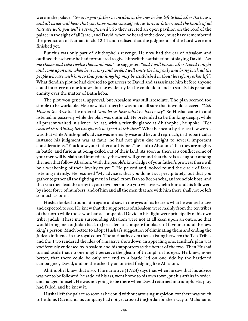were in the palace. "Go in to your father's concubines, the ones he has left to look after the house, and all Israel will hear that you have made yourself odious to your father; and the hands of all that are with you will be strengthened". So they erected an open pavilion on the roof of the palace in the sight of all Israel, and David, when he heard of the deed, must have remembered the prediction of Nathan in ch. 12:11 and realised that the judgments of the Lord were not finished yet.

But this was only part of Ahithophel's revenge. He now had the ear of Absalom and outlined the scheme he had formulated to give himself the satisfaction of slaying David. "Let me choose and take twelve thousand men" he suggested "and I will pursue after David tonight and come upon him when he is weary and weak. I will smite the king only and bring back all the people who are with him so that your kingship may be established without loss of any other life". What fiendish plot he had devised to get access to David and assassinate him before anyone could interfere no one knows, but he evidently felt he could do it and so satisfy his personal enmity over the matter of Bathsheba.

The plot won general approval, but Absalom was still irresolute. The plan seemed too simple to be workable. He knew his father; he was not at all sure that it would succeed. "Call Hushai the Archite" he ordered "and let us hear what he has to say". So Hushai came in and listened impassively while the plan was outlined. He pretended to be thinking deeply, while all present waited in silence. At last, with a friendly glance at Ahithophel, he spoke. "The counsel that Ahithophel has given is not good at this time". What he meant by the last few words was that while Ahithophel's advice was normally wise and beyond reproach, in this particular instance his judgment was at fault; he had not given due weight to several important considerations. "You know your father and his men" he said to Absalom "that they are mighty in battle, and furious at being exiled out of their land. As soon as there is a conflict some of your men will be slain and immediately the word will go round that there is a slaughter among the men that follow Absalom. With the people's knowledge of your father's prowess there will be a weakening of their loyalty to you". He paused and looked round the circle of faces, listening intently. He resumed "My advice is that you do not act precipitately, but that you gather together all the fighting men in Israel, from Dan to Beer-sheba, an invincible host, and that you then lead the army in your own person. So you will overwhelm him and his followers by sheer force of numbers, and of him and all the men that are with him there shall not be left so much as one".

Hushai looked around him again and saw in the eyes of his hearers what he wanted to see and expected to see. He knew that the supporters of Absalom were mainly from the ten tribes of the north while those who had accompanied David in his flight were principally of his own tribe, Judah. These men surrounding Absalom were not at all keen upon an outcome that would bring men of Judah back to Jerusalem to compete for places of favour around the new king' s person. Much better to adopt Hushai's suggestion of eliminating them and ending the Judean influence in the royal court. The antipathy even then existing between the Ten Tribes and the Two rendered the idea of a massive showdown an appealing one. Hushai's plan was vociferously endorsed by Absalom and his supporters as the better of the two. Then Hushai turned aside that no one might perceive the gleam of triumph in his eyes. He knew, none better, that there could be only one end to a battle led on one side by the hardened campaigner, David, and on the other by an untried fledgling like Absalom.

Ahithophel knew that also. The narrative (17:23) says that when he saw that his advice was not to be followed, he saddled his ass, went home to his own town, put his affairs in order, and hanged himself. He was not going to be there when David returned in triumph. His ploy had failed, and he knew it.

Hushai left the palace so soon as he could without arousing suspicion, for there was much to be done. David and his company had not yet crossed the Jordan on their way to Mahanaim.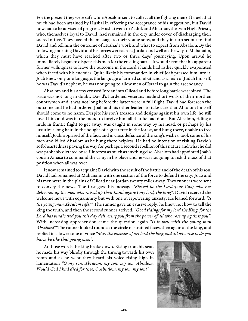For the present they were safe while Absalom sent to collect all the fighting men of Israel; that much had been attained by Hushai in effecting the acceptance of his suggestion, but David now had to be advised of progress. Hushai went to Zadok and Abiathar, the twin High Priests, who, themselves loyal to David, had remained in the city under cover of discharging their sacred office. They passed the message to their young sons, and they in turn set out to find David and tell him the outcome of Hushai's work and what to expect from Absalom. By the following morning David and his forces were across Jordan and well on the way to Mahanaim, which they must have reached after two or three days' journeying. Upon arrival he immediately began to dispense his men for the ensuing battle. It would seem that his apparent former willingness to leave the outcome in the Lord's hands had rather quickly evaporated when faced with his enemies. Quite likely his commander-in-chief Joab pressed him into it. Joab knew only one language, the language of armed combat, and as a man of Judah himself, he was David's nephew, he was not going to allow men of Israel to gain the ascendancy.

Absalom and his army crossed Jordan into Gilead and before long battle was joined. The issue was not long in doubt. David's hardened veterans made short work of their northen countrymen and it was not long before the latter were in full flight. David had foreseen the outcome and he had ordered Joab and his other leaders to take care that Absalom himself should come to no harm. Despite his son's treason and designs against his own life, he still loved him and was in the mood to forgive him all that he had done. But Absalom, riding a mule in frantic flight to get away, was caught in some way by his head, or perhaps by his luxurious long hair, in the boughs of a great tree in the forest, and hung there, unable to free himself. Joab, apprised of the fact, and in crass defiance of the king's wishes, took some of his men and killed Absalom as he hung there helpless. He had no intention of risking David's soft-heartedness paving the way for perhaps a second rebellion of this nature and what he did was probably dictated by self-interest as much as anything else. Absalom had appointed Joab's cousin Amasa to command the army in his place and he was not going to risk the loss of that position when all was over.

It now remained to acquaint David with the result of the battle and of the death of his son. David had remained at Mahanaim with one section of the force to defend the city; Joab and his men were in the plains of Gilead near Jordan twenty miles away. Two runners were sent to convey the news. The first gave his message "Blessed be the Lord your God; who has delivered up the men who raised up their hand against my lord, the king". David received the welcome news with equanimity but with one overpowering anxiety. He leaned forward. "Is the young man Absalom safe?" The runner gave an evasive reply; he knew not how to tell the king the truth, and then the second runner arrived. "Good tidings for my lord the King, for the Lord has vindicated you this day delivering you from the power of all who rose up against you". With increasing apprehension came the question again "Is it well with the young man Absalom?" The runner looked round at the circle of strained faces, then again at the king, and replied in a lower tone of voice "May the enemies of my lord the king and all who rise to do you harm be like that young man".

At those words the king broke down. Rising from his seat, he made his way blindly through the throng towards his own room and as he went they heard his voice rising high in lamentation "O my son, Absalom, my son, my son, Absalom. Would God I had died for thee, O Absalom, my son, my son!"

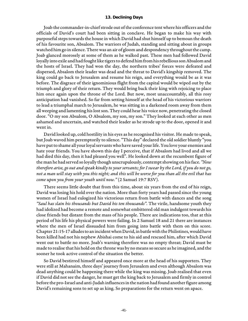#### **13. Declining Days**

Joab the commander-in-chief strode out of the conference tent where his officers and the officials of David's court had been sitting in conclave. He began to make his way with purposeful steps towards the house in which David had shut himself up to bemoan the death of his favourite son, Absalom. The warriors of Judah, standing and sitting about in groups watched him go in silence. There was an air of gloom and despondency throughout the camp. Joab glanced morosely at some of them as he walked past. These men had followed David loyally into exile and had fought like tigers to defend him from his rebellious son Absalom and the hosts of Israel. They had won the day, the northern tribes' forces were defeated and dispersed, Absalom their leader was dead and the threat to David's kingship removed. The king could go back to Jerusalem and resume his reign, and everything would be as it was before. The disgrace of their ignominious flight from the capital would be wiped out by the triumph and glory of their return. They would bring back their king with rejoicing to place him once again upon the throne of the Lord. But now, most unaccountably, all this rosy anticipation had vanished. So far from setting himself at the head of his victorious warriors to lead a triumphal march to Jerusalem, he was sitting in a darkened room away from them all weeping and lamenting his lost son. They could hear his voice now, penetrating the closed door. "O my son Absalom, O Absalom, my son, my son." They looked at each other as men ashamed and uncertain, and watched their leader as he strode up to the door, opened it and went in.

David looked up, cold hostility in his eyes as he recognised his visitor. He made to speak, but Joab waved him peremptorily to silence. "This day" declared the old soldier bluntly "you have put to shame all your loyal servants who have saved your life. You love your enemies and hate your friends. You have shown this day I perceive, that if Absalom had lived and all we had died this day, then it had pleased you well". He looked down at the recumbent figure of the man he had served so loyally though unscrupulously, contempt showing on his face. "Now therefore arise, go out and speak kindly to your servants; for I swear by the Lord, if you do not go, not a man will stay with you this night; and this will be worse for you than all the evil that has come upon you from your youth until now." (2 Samuel 19:7 RSV).

There seems little doubt that from this time, about six years from the end of his reign, David was losing his hold over the nation. More than forty years had passed since the young women of Israel had eulogized his victorious return from battle with dances and the song "Saul has slain his thousands but David his ten thousands". The virile, handsome youth they had idolized had become a remote and somewhat embittered old man indulgent towards his close friends but distant from the mass of his people. There are indications too, that at this period of his life his physical powers were failing. In 2 Samuel 18 and 21 there are instances where the men of Israel dissuaded him from going into battle with them on this score. Chapter 21:15-17 alludes to an incident when David, in battle with the Philistines, would have been killed had not his nephew Abishai come to his aid and rescued him, after which David went out to battle no more. Joab's warning therefore was no empty threat; David must be made to realise that his hold on the throne was by no means so secure as he imagined, and the sooner he took active control of the situation the better.

So David bestirred himself and appeared once more at the head of his supporters. They were still at Mahanaim, three days' journey from Jerusalem and even although Absalom was dead anything could be happening there while the king was missing. Joab realised that even if David did not see the danger, he must get the king back to Jerusalem and firmly in control before the pro-Israel and anti-Judah influences in the nation had found another figure among David's remaining sons to set up as king. So preparations for the return went on apace.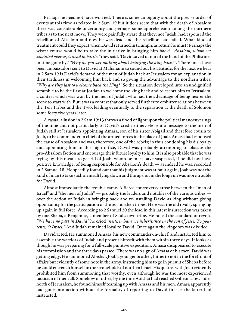Perhaps he need not have worried. There is some ambiguity about the precise order of events at this time as related in 2 Sam. 19 but it does seem that with the death of Absalom there was considerable uncertainty and perhaps some apprehension among the northern tribes as to the next move. They were painfully aware that they, not Judah, had espoused the rebellion of Absalom and now he was dead and the rebellion had failed. What kind of treatment could they expect when David returned in triumph, as return he must? Perhaps the wisest course would be to take the initiative in bringing him back! "Absalom, whom we anointed over us, is dead in battle." they said. 'David saved us out of the hand of the Philistines in time gone by.' "Why do you say nothing about bringing the king back?". There must have been ambassadors sent to David at Mahanaim to sound out his attitude, for the next we hear in 2 Sam 19 is David's demand of the men of Judah back at Jerusalem for an explanation in their tardiness in welcoming him back and so giving the advantage to the northern tribes. "Why are they last to welcome back the King?" So the situation developed into an undignified scramble to be the first at Jordan to welcome the king back and to escort him to Jerusalem, a contest which was won by the men of Judah, who had the advantage of being nearer the scene to start with. But it was a contest that only served further to embitter relations between the Ten Tribes and the Two, leading eventually to the separation at the death of Solomon some forty five years later.

A casual allusion in 2 Sam 19:13 throws a flood of light upon the political manoeuverings of the time and not particularly to David's credit either. He sent a message to the men of Judah still at Jerusalem appointing Amasa, son of his sister Abigail and therefore cousin to Joab, to be commander in chief of the armed forces in the place of Joab. Amasa had espoused the cause of Absalom and was, therefore, one of the rebels; in thus condoning his disloyalty and appointing him to this high office, David was probably attempting to placate the pro-Absalom faction and encourage their future loyalty to him. It is also probable that he was trying by this means to get rid of Joab, whom he must have suspected, if he did not have positive knowledge, of being responsible for Absalom's death — as indeed he was, recorded in 2 Samuel 18. He speedily found out that his judgment was at fault again, Joab was not the kind of man to take such an insult lying down and the upshot in the long run was more trouble for David.

Almost immediately the trouble came. A fierce controversy arose between the "men of Israel" and "the men of Judah" — probably the leaders and notables of the various tribes over the action of Judah in bringing back and re-installing David as king without giving opportunity for the participation of the ten northen tribes. Here was the old rivalry springing up again in full force. According to 2 Samuel 20 the lead in this latest insurrection was taken by one Sheba, a Benjamite, a member of Saul's own tribe. He raised the standard of revolt. "We have no part in David" he cried "neither have we inheritance in the son of Jesse. To your tents, O Israel." And Judah remained loyal to David. Once again the kingdom was divided.

David acted. He summoned Amasa, his new commander-in-chief, and instructed him to assemble the warriors of Judah and present himself with them within three days. It looks as though he was preparing for a full-scale punitive expedition. Amasa disappeared to execute his commission and the three days passed. There was no sign of Amasa or his men. David was getting edgy. He summoned Abishai, Joab's younger brother, hitherto not in the forefront of affairs but evidently of some note in the army, instructing him to go in pursuit of Sheba before he could entrench himself in the strongholds of northen Israel. His quarrel with Joab evidently prohibited him from summoning that worthy, even although he was the most experienced tactician of them all. Somehow or other, by the time Abishai had reached Gibeon a few miles north of Jerusalem, he found himself teaming up with Amasa and his men. Amasa apparently had gone into action without the formality of reporting to David first as the latter had instructed.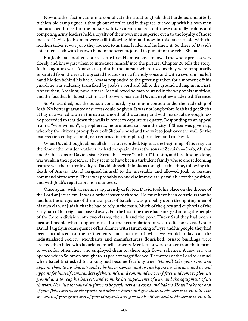Now another factor came in to complicate the situation. Joab, that hardened and utterly ruthless old campaigner, although out of office and in disgrace, turned up with his own men and attached himself to the pursuers. It is evident that each of these mutually jealous and competing army leaders held a loyalty of their own men superior even to the loyalty of those men to David. Joab's men were still following him and now in this latest tussle with the northen tribes it was Joab they looked to as their leader and he knew it. So three of David's chief men, each with his own band of adherents, joined in pursuit of the rebel Sheba.

But Joab had another score to settle first. He must have followed the whole process very closely and knew just when to introduce himself into the picture. Chapter 20 tells the story. Joab caught up with Amasa at a point in the pursuit when it seems they were temporarily separated from the rest. He greeted his cousin in a friendly voice and with a sword in his left hand hidden behind his back. Amasa responded to the greeting: taken for a moment off his guard, he was suddenly transfixed by Joab's sword and fell to the ground a dying man. First, Abner; then, Absalom; now, Amasa. Joab allowed no man to stand in the way of his ambition, and the fact that his latest victim was his own cousin and David's nephew made no difference.

So Amasa died, but the pursuit continued, by common consent under the leadership of Joab. No better guarantee of success could be given. It was not long before Joab had got Sheba at bay in a walled town in the extreme north of the country and with his usual thoroughness he proceeded to tear down the walls in order to capture his quarry. Responding to an appeal from a "wise woman", a prophetess, he promised to spare the city if Sheba was given up, whereby the citizens promptly cut off Sheba' s head and threw it to Joab over the wall. So the insurrection collapsed and Joab returned in triumph to Jerusalem and to David.

What David thought about all this is not recorded. Right at the beginning of his reign, at the time of the murder of Abner, he had complained that the sons of Zeruiah — Joab, Abishai and Asahel, sons of David's sister Zeruiah — were "too hard" for him, and he, although king, was weak in their presence. They seem to have been a turbulent family whose one redeeming feature was their utter loyalty to David himself. It looks as though at this time, following the death of Amasa, David resigned himself to the inevitable and allowed Joab to resume command of the army. There was probably no one else immediately available for the position, and with Joab's reputation, no volunteers.

Once again, with all enemies apparently defeated, David took his place on the throne of the Lord at Jerusalem. It was a rather insecure throne. He must have been conscious that he had lost the allegiance of the major part of Israel; it was probably upon the fighting men of his own clan, of Judah, that he had to rely in the main. Much of the glory and euphoria of the early part of his reign had passed away. For the first time there had emerged among the people of the Lord a division into two classes, the rich and the poor. Under Saul they had been a pastoral people where opportunities for the accumulation of wealth did not exist. Under David, largely in consequence of his alliance with Hiram king of Tyre and his people, they had been introduced to the refinements and luxuries of what we would today call the industrialized society. Merchants and manufacturers flourished; ornate buildings were erected, then filled with luxurious embellishments. Men left, or were enticed from their farms to work for other men who employed them on these high flown schemes. A new era was opened which Solomon brought to its peak of magnificence. The words of the Lord to Samuel when Israel first asked for a king had become fearfully true. "He will take your sons, and appoint them to his chariots and to be his horsemen, and to run before his chariots; and he will appoint for himself commanders of thousands, and commanders over fifties, and some to plow his ground and to reap his harvest, and to make his implements of war, and the equipment of his chariots. He will take your daughters to be perfumers and cooks, and bakers. He will take the best of your fields and your vineyards and olive orchards and give them to his. servants. He will take the tenth of your grain and of your vineyards and give to his officers and to his servants. He will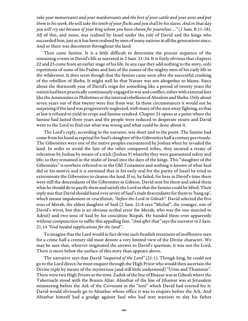take your menservants and your maidservants and the best of your cattle and your asses and put them to his work. He will take the tenth of your flocks and you shall be his slaves. And in that day you will cry out because of your king whom you have chosen for yourselves …" (1 Sam. 8:11-18). All of this, and more, was realised by Israel under the rule of David and the kings who succeeded him, just as it has been realised by men of many nations in all the generations since. And so there was discontent throughout the land.

Then came famine. It is a little difficult to determine the precise sequence of the remaining events in David's life as narrated in 2 Sam. 21-24. It is fairly obvious that chapters 22 and 23 come from an earlier stage of his life. In any case they add nothing to the story, only repetitions of some of his Psalms and lists of the names of the mighty men of his early life in the wilderness. It does seem though that the famine came soon after the successful crushing of the rebellion of Sheba. It might well be that Nature was not altogether to blame. Since about the thirteenth year of David's reign for something like a period of twenty years the nation had been practically continuously engaged in war and conflict, either with external foes like the Ammonites or Philistines or the internal rebellions of Absalom and Sheba. Only about seven years out of that twenty were free from war. In those circumstances it would not be surprising if the land was progressively neglected, with many of the men away fighting, so that at last it refused to yield its crops and famine resulted. Chapter 21 opens at a point where the famine had lasted three years and the people were reduced to desperate straits and David went to the Lord to find out what was wrong and what could be done about it.

The Lord's reply, according to the narrator, was short and to the point. The famine had come from his hand as reprisal for Saul's slaughter of the Gibeonites half a century previously. The Gibeonites were one of the native peoples encountered by Joshua when he invaded the land. In order to avoid the fate of the other conquered tribes, they secured a treaty of toleration by Joshua by means of a trick (Joshua 9) whereby they were guaranteed safety and life; so they remained in the midst of Israel into the days of the kings. This "slaughter of the Gibeonites" is nowhere referred to in the Old Testament and nothing is known of what Saul did or his motive and it is surmised that in his early zeal for the purity of Israel he tried to exterminate the Gibeonites to cleanse the land. If so, he failed, for here in David's time there were still the descendants of the Gibeonites in Gibeon. David sent for them and asked them what he should do to pacify them and satisfy the Lord so that the famine could be lifted. Their reply was that David should hand over seven of Saul's male descendants for them to 'hang up', which meant impalement or crucifixion, "before the Lord in Gibeah". David selected the five sons of Merab, the eldest daughter of Saul (2 Sam. 21:8 says "Michal", the younger, one of David's wives, but this is an obvious scribal error for Merab, who was the one married to Adriel) and two sons of Saul by his concubine Rizpah. He handed them over apparently without compunction to suffer this appalling fate. "And after that" says the narrator in 2 Sam. 21:14 "God heeded supplications for the land".

To imagine that the Lord would in fact devise such fiendish treatment of inoffensive men for a crime half a century old must denote a very limited view of the Divine character. We may be sure that, whoever originated the answer to David's question, it was not the Lord. There is more below the surface of this story than appears above.

The narrative says that David "enquired of the Lord" (21:1). Though king, he could not go to the Lord direct; he must enquire through the High Priest who would then ascertain the Divine reply by means of the mysterious (and still little understood) "Urim and Thummin". There were two High Priests at the time. Zadok of the line of Eleazar was at Gibeah where the Tabernacle stood with the Brazen Altar. Abiathar of the line of Ithamar was at Jerusalem ministering before the Ark of the Covenant in the "tent" which David had erected for it. David would obviously go to Abiathar whose office it was to enquire before the Ark. And Abiathar himself had a grudge against Saul who had sent warriors to slay his father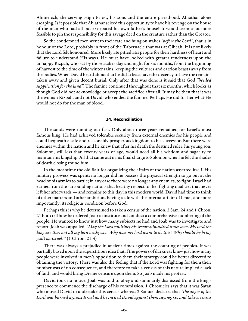Ahimelech, the serving High Priest, his sons and the entire priesthood, Abiathar alone escaping. Is it possible that Abiathar seized this opportunity to have his revenge on the house of the man who had all but extirpated his own father's house? It would seem a lot more feasible to pin the responsibility for this savage deed on the creature rather than the Creator.

So the condemned men went to their fate and hung on stakes "before the Lord", that is in honour of the Lord, probably in front of the Tabernacle that was at Gibeah. It is not likely that the Lord felt honoured. More likely He pitied His people for their hardness of heart and failure to understand His ways. He must have looked with greater tenderness upon the unhappy Rizpah, who sat by those stakes day and night for six months, from the beginning of harvest to the time of the winter rains, keeping the vultures and carrion beasts away from the bodies. When David heard about that he did at least have the decency to have the remains taken away and given decent burial. Only after that was done is it said that God "heeded supplication for the land". The famine continued throughout that six months, which looks as though God did not acknowledge or accept the sacrifice after all. It may be then that it was the woman Rizpah, and not David, who ended the famine. Perhaps He did for her what He would not do for the man of blood.

#### **14. Reconciliation**

The sands were running out fast. Only about three years remained for Israel's most famous king. He had achieved tolerable security from external enemies for his people and could bequeath a safe and reasonably prosperous kingdom to his successor. But there were enemies within the nation and he knew that after his death the destined ruler, his young son, Solomon, still less than twenty years of age, would need all his wisdom and sagacity to maintain his kingship. All that came out in his final charge to Solomon when he felt the shades of death closing round him.

In the meantime the old flair for organizing the affairs of the nation asserted itself. His military prowess was spent; no longer did he possess the physical strength to go out at the head of his armies to battle; in any case there were no longer any enemies, to fight. Israel had earned from the surrounding nations that healthy respect for her fighting qualities that never left her afterwards — and remains to this day in this modern world. David had time to think of other matters and other ambitions having to do with the internal affairs of Israel, and more importantly, its religious condition before God.

Perhaps this is why he determined to take a census of the nation. 2 Sam. 24 and 1 Chron. 21 both tell how he ordered Joab to institute and conduct a comprehensive numbering of the people. He wanted to know just how many subjects he had and Joab was to investigate and report. Joab was appalled. "May the Lord multiply his troops a hundred times over. My lord the king are they not all my lord's subjects? Why does my lord want to do this? Why should he bring guilt on Israel?" (1 Chron. 21:3)

There was always a prejudice in ancient times against the counting of peoples. It was partially based upon the superstitious idea that if the powers of darkness knew just how many people were involved in men's opposition to them their strategy could be better directed to obtaining the victory. There was also the feeling that if the Lord was fighting for them their number was of no consequence, and therefore to take a census of this nature implied a lack of faith and would bring Divine censure upon them. So Joab made his protest.

David took no notice. Joab was told to obey and summarily dismissed from the king's presence to commence the discharge of his commission. 1 Chronicles says that it was Satan who moved David to undertake this census whereas 2 Samuel declares that "the anger of the Lord was burned against Israel and he incited David against them saying. Go and take a census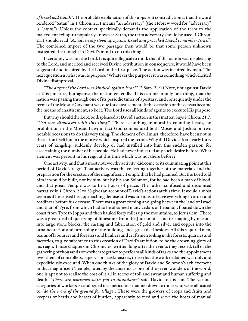of Israel and Judah". The probable explanation of this apparent contradiction is that the word rendered "Satan" in 1 Chron. 21:1 means "an adversary" (the Hebrew word for "adversary" is "satan"). Unless the context specifically demands the application of the term to the malevolent evil spirit popularly known as Satan, the term adversary should be used. 1 Chron. 21:1 should read "An adversary stood up against Israel and provoked David to number Israel". The combined import of the two passages then would be that some person unknown instigated the thought in David's mind to do this thing.

It certainly was not the Lord. It is quite illogical to think that if this action was displeasing to the Lord, and merited and received Divine retribution in consequence, it would have been suggested and inspired by the Lord in the first place. The action was inspired by man. The next question is, what was its purpose? Whatever the purpose? it was something which elicited Divine disapproval.

"The anger of the Lord was kindled against Israel" (2 Sam. 24:1) Note, not against David at this juncture, but against the nation generally. This can mean only one thing, that the nation was passing through one of its periodic times of apostasy, and consequently under the terms of the Mosaic Covenant was due for chastisement. If the occasion of the census became the means of chastisement, so be it. The Lord uses all kinds of agents to execute His purpose.

But why should the Lord be displeased at David's action in this matter. Says 1 Chron. 21:7. "God was displeased with this thing". There is nothing immoral in counting heads, no prohibition in the Mosaic Law; in fact God commanded both Moses and Joshua on two notable occasions to do this very thing. The element of evil must, therefore, have been not in the action itself but in the motive which inspired the action. Why did David, after nearly forty years of kingship, suddenly develop or had instilled into him this sudden passion for ascertaining the number of his people. He had never indicated any such desire before. What element was present in his reign at this time which was not there before?

One activity, and that a most noteworthy activity, did come to its culminating point at this period of David's reign. That activity was the collecting together of the materials and the preparation for the erection of the magnificent Temple that he had planned. But the Lord told him it would be built, not by him, but by his son Solomon, for he had been a man of blood, and that great Temple was to be a house of peace. The rather confused and disjointed narrative in 1 Chron. 22 to 28 gives an account of David's actions at this time. It would almost seem as if he sensed his approaching demise and was anxious to leave everything in order and readiness before his decease. There was a great coming and going between the land of Israel and that of Tyre, from which had to be obtained many cedars of Lebanon, floated down the coast from Tyre to Joppa and then hauled forty miles up the mountains, to Jerusalem. There was a great deal of quarrying of limestone from the Judean hills and its shaping by masons into large stone blocks; the casting and fabrication of gold and silver and copper into the ornamentation and furnishing of the building, and a great deal besides. All this required men, teams of labourers and foresters and hauliers and craftsmen toiling in the forests, quarries and factories, to give substance to this creation of David's ambition, to be the crowning glory of his reign. Those chapters in Chronicles, written long after the events they record, tell of the gathering of thousands of workers together to perform all kinds of tasks and the appointment over them of controllers, supervisors, taskmasters, to see that the work ordained was duly and expeditiously executed. When one thinks of the glory of David and Solomon's achievement in that magnificent Temple, rated by the ancients as one of the seven wonders of the world, one is apt not to realise the cost of it all in terms of toil and sweat and human suffering and death. "There are workmen with you in abundance" said David to his son. The various categories of workers is catalogued in a meticulous manner down to those who were allocated to "do the work of the ground for tillage". These were the growers of crops and fruits and keepers of herds and beasts of burden, apparently to feed and serve the hosts of manual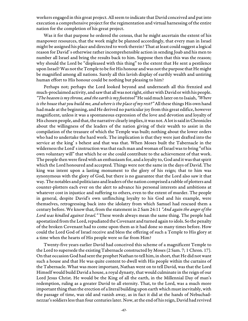workers engaged in this great project. All seem to indicate that David conceived and put into execution a comprehensive project for the regimentation and virtual harnessing of the entire nation for the completion of his great project.

Was it for that purpose he ordered the census, that he might ascertain the extent of his manpower resources, that the work might be planned accordingly, that every man in Israel might be assigned his place and directed to work therein? That at least could suggest a logical reason for David' s otherwise rather incomprehensible action in sending Joab and his men to number all Israel and bring the results back to him. Suppose then that this was the reason; why should the Lord be "displeased with this thing" to the extent that He sent a pestilence upon Israel? Was not the Temple to be for His honour and was not the purpose that He might be magnified among all nations. Surely all this lavish display of earthly wealth and untiring human effort to His honour could be nothing but pleasing to him?

Perhaps not; perhaps the Lord looked beyond and underneath all this frenzied and much-proclaimed activity, and saw that all was not right, either with David or with his people. "The heaven is my throne, and the earth is my footstool" He said much later on to Isaiah, "Where is the house that you build me, and where is the place of my rest?" All these things His own hand had made at the beginning, and He derived no particular joy from this great edifice, however magnificent, unless it was a spontaneous expression of the love and devotion and loyalty of His chosen people, and that, the narrative clearly implies, it was not. A lot is said in Chronicles about the willingness of the leaders of the nation giving of their wealth to assist in the compilation of the treasure of which the Temple was built; nothing about the lower orders who had to undertake the hard work. The implication is that they were just drafted into the service at the king' s behest and that was that. When Moses built the Tabernacle in the wilderness the Lord' s instruction was that each man and woman of Israel was to bring "of his own voluntary will" that which he or she could contribute to the achievement of that work. The people then were fired with an enthusiasm for, and a loyalty to, God and it was that spirit which the Lord honoured and accepted. Things were not the same in the days of David. The king was intent upon a lasting monument to the glory of his reign; that to him was synonymous with the glory of God, but there is no guarantee that the Lord also saw it that way. The notables and politicians and leaders of the nation comprised a rabble of plotters and counter-plotters each ever on the alert to advance his personal interests and ambitions at whatever cost in injustice and suffering to others, even to the extent of murder. The people in general, despite David's own unflinching loyalty to his God and his example, were themselves, retrogressing back into the idolatry from which Samuel had rescued them a century before. We know that, from the statement in 2 Sam 24:11 "And again the anger of the Lord was kindled against Israel." These words always mean the same thing. The people had apostatized from the Lord, repudiated the Covenant and turned again to idols. So the penalty of the broken Covenant had to come upon them as it had done so many times before. How could the Lord God of Israel receive and bless the offering of such a Temple to His glory at a time when the hearts of His people were so far from Him?

Twenty-five years earlier David had conceived this scheme of a magnificent Temple to the Lord to supersede the existing Tabernacle constructed by Moses (2 Sam. 7; 1 Chron. 17). On that occasion God had sent the prophet Nathan to tell him, in short, that He did not want such a house and that He was quite content to dwell with His people within the curtains of the Tabernacle. What was more important, Nathan went on to tell David, was that the Lord Himself would build David a house, a royal dynasty, that would culminate in the reign of our Lord Jesus Christ. He would be the King of all the earth, in the Millennial Day of man's redemption, ruling as a greater David to all eternity. That, to the Lord, was a much more important thing than the erection of a literal building upon earth which must inevitably, with the passage of time, wax old and vanish away, as in fact it did at the hands of Nebuchadnezzar's soldiers less than four centuries later. Now, at the end of his reign, David had revived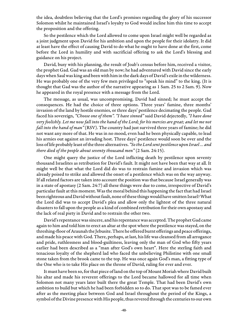the idea, doubtless believing that the Lord's promises regarding the glory of his successor Solomon whilst he maintained Israel's loyalty to God would incline him this time to accept the proposition and the offering.

So the pestilence which the Lord allowed to come upon Israel might well be regarded as a joint judgment upon David for his ambition and upon the people for their idolatry. It did at least have the effect of causing David to do what he ought to have done at the first, come before the Lord in humility and with sacrificial offering to ask the Lord's blessing and guidance on his project.

David, busy with his planning, the result of Joab's census before him, received a visitor, the prophet Gad. Gad was an old man by now; he had adventured with David since the early days when Saul was king and been with him in the dark days of David's exile in the wilderness. He was probably one of the very few men privileged to "speak his mind" to the king. (It is thought that Gad was the author of the narrative appearing as 1 Sam. 25 to 2 Sam. 9). Now he appeared in the royal presence with a message from the Lord.

The message, as usual, was uncompromising. David had sinned; he must accept the consequences. He had the choice of three options. Three years' famine, three months' invasion of the land by hostile enemies, or three days' pestilence decimating the people. Gad faced his sovereign, "Choose one of them". "I have sinned" said David dejectedly, "I have done very foolishly. Let me now fall into the hand of the Lord; for his mercies are great; and let me not fall into the hand of man" (RSV). The country had just survived three years of famine; he did not want any more of that. He was in no mood, even had he been physically capable, to lead his armies out against an invading host. Three days' pestilence would soon be over and the loss of life probably least of the three alternatives. "So the Lord sent pestilence upon Israel ... and there died of the people about seventy thousand men" (2 Sam. 24:15).

One might query the justice of the Lord inflicting death by pestilence upon seventy thousand Israelites as retribution for David's fault. It might not have been that way at all. It might well be that what the Lord did do was to restrain famine and invasion which was already poised to strike and allowed the onset of a pestilence which was on the way anyway. If all related factors are taken into account the position was that because Israel generally was in a state of apostasy (2 Sam. 24:7) all these things were due to come, irrespective of David's particular fault at this moment. Was the moral behind this happening the fact that had Israel been righteous and David without fault, none of these things would have smitten Israel? What the Lord did was to accept David's plea and allow only the lightest of the three natural disasters to fall upon the people as a kind of combined retribution for their own apostasy and the lack of real piety in David and to restrain the other two.

David's repentance was sincere, and his repentance was accepted. The prophet Gad came again to him and told him to erect an altar at the spot where the pestilence was stayed, on the threshing-floor of Araunah the Jebusite. There he offered burnt offerings and peace offerings, and made his peace with God. There, perhaps, at last, his life was cleansed from all arrogance and pride, ruthlessness and blood-guiltiness, leaving only the man of God who fifty years earlier had been described as a "man after God's own heart". Here the sterling faith and tenacious loyalty of the shepherd lad who faced the unbelieving Philistine with one small stone taken from the brook came to the top. He was once again God's man, a fitting type of the One who is to take His place on the throne of David, ruling for ever and ever.

It must have been so, for that piece of land on the top of Mount Moriah where David built his altar and made his reverent offerings to the Lord became hallowed for all time when Solomon not many years later built there the great Temple. That had been David's own ambition to build but which he had been forbidden so to do. That spot was to be famed ever after as the meeting place between God and Israel throughout the period of the Kings, a symbol of the Divine presence with His people, thus revered through the centuries to our own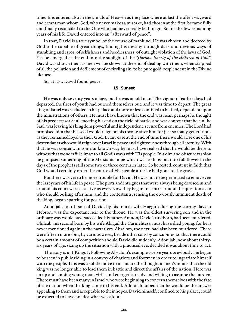time. It is entered also in the annals of Heaven as the place where at last the often wayward and errant man whom God, who never makes a mistake, had chosen at the first, became fully and finally reconciled to the One who had never really let him go. So for the few remaining years of his life, David entered into an "afterward of peace".

In that, David is a true symbol of the course of mankind. He was chosen and decreed by God to be capable of great things, finding his destiny through dark and devious ways of stumbling and error, of selfishness and heedlessness, of outright violation of the laws of God. Yet he emerged at the end into the sunlight of the "glorious liberty of the children of God". David was shown then, as men will be shown at the end of dealing with them, when stripped of all the pollution and defilement of encircling sin, to be pure gold, resplendent in the Divine likeness.

So, at last, David found peace.

#### **15. Sunset**

He was only seventy years of age, but he was an old man. The vigour of earlier days had departed, the fires of youth had burned themselves out, and it was time to depart. The great king of Israel was secluded in his palace and more or less confined to his bed, dependent upon the ministrations of others. He must have known that the end was near; perhaps he thought of his predecessor Saul, meeting his end on the field of battle, and was content that he, unlike Saul, was leaving his kingdom powerful and independent, secure from enemies. The Lord had promised him that his seed would reign on his throne after him for just so many generations as they remained loyal to their God. In any case at the end of time there would arise one of his descendants who would reign over Israel in peace and righteousness through all eternity. With that he was content. In some unknown way he must have realised that he would be there to witness that wonderful climax to all God's ways with His people. In a dim and obscure fashion he glimpsed something of the Messianic hope which was to blossom into full flower in the days of the prophets still some two or three centuries later. So he rested, content in faith that God would certainly order the course of His people after he had gone to the grave.

But there was yet to be more trouble for David. He was not to be permitted to enjoy even the last years of his life in peace. The plots and intrigues that were always being devised in and around his court were as active as ever. Now they began to centre around the question as to who should be king after him, and the contestants, sensing the obviously imminent death of the king, began sparring for position.

Adonijah, fourth son of David, by his fourth wife Haggith during the stormy days at Hebron, was the expectant heir to the throne. He was the eldest surviving son and in the ordinary way would have succeeded his father. Amnon, David's firstborn, had been murdered. Chileab, his second born by his wife Abigail the Carmelitess, must have died young, for he is never mentioned again in the narratives. Absalom, the next, had also been murdered. There were fifteen more sons, by various wives, beside other sons by concubines, so that there could be a certain amount of competition should David die suddenly. Adonijah, now about thirtysix years of age, sizing up the situation with a practised eye, decided it was about time to act.

The story is in 1 Kings 1. Following Absalom's example twelve years previously, he began to be seen in public riding in a convoy of chariots and footmen in order to ingratiate himself with the people. This was a subtle move to insinuate the thought in men's minds that the old king was no longer able to lead them in battle and direct the affairs of the nation. Here was an up and coming young man, virile and energetic, ready and willing to assume the burden. There must have been many in Israel who were beginning to concern themselves with the fate of the nation when the king came to his end. Adonijah hoped that he would be the answer appealing to them and acceptable to their hopes. David himself, confined to his palace, could be expected to have no idea what was afoot.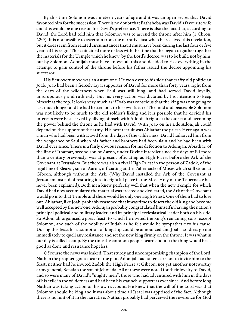By this time Solomon was nineteen years of age and it was an open secret that David favoured him for the succession. There is no doubt that Bathsheba was David's favourite wife and this would be one reason for David's preference. There is also the fact that, according to David, the Lord had told him that Solomon was to ascend the throne after him (1 Chron. 22:9). It is not possible to ascertain from the narrative just when he received this revelation, but it does seem from related circumstances that it must have been during the last four or five years of his reign. This coincided more or less with the time that he began to gather together the materials for the Temple which he knew, by the Lord's decree, was to be built, not by him, but by Solomon. Adonijah must have known all this and decided to risk everything in the attempt to gain control of the throne before his father issued the decree appointing his successor.

His first overt move was an astute one. He won over to his side that crafty old politician Joab. Joab had been a fiercely loyal supporter of David for more than forty years, right from the days of the wilderness when Saul was still king, and had served David loyally, unscrupulously and ruthlessly. But his every action was dictated by his intention to keep himself at the top. It looks very much as if Joab was conscious that the king was not going to last much longer and he had better look to his own future. The mild and peaceable Solomon was not likely to be much to the old soldier's liking and it is possible that he decided his interests were best served by allying himself with Adonijah right at the outset and becoming the power behind the throne as he had with David. With Joab on his side Adonijah could depend on the support of the army. His next recruit was Abiathar the priest. Here again was a man who had been with David from the days of the wilderness. David had saved him from the vengeance of Saul when his father and brothers had been slain and he had been with David ever since. There is a fairly obvious reason for his defection to Adonijah. Abiathar, of the line of Ithamar, second son of Aaron, under Divine interdict since the days of Eli more than a century previously, was at present officiating as High Priest before the Ark of the Covenant at Jerusalem. But there was also a rival High Priest in the person of Zadok, of the legal line of Eleazar, son of Aaron, officiating at the Tabernacle of Moses which still stood at Gibeon, although without the Ark. (Why David installed the Ark of the Covenant at Jerusalem instead of restoring it to its rightful place in the Most Holy of the Tabernacle has never been explained). Both men knew perfectly well that when the new Temple for which David had now accumulated the material was erected and dedicated, the Ark of the Covenant would go into that Temple and there would be only one High Priest. One of them had to lose out. Abiathar, like Joab, probably reasoned that it was time to desert the old king and become well accepted by the new one. Adonijah probably congratulated himself in having the nation's principal political and military leader, and its principal ecclesiastical leader both on his side. So Adonijah organised a great feast, to which he invited the king's remaining sons, except Solomon, and such of the nobility of Judah as he felt would be sympathetic to his cause. During this feast his assumption of kingship could be announced and Joab's soldiers go out immediately to quell any resistance and set the new king firmly on the throne. It was what in our day is called a coup. By the time the common people heard about it the thing would be as good as done and resistance hopeless.

Of course the news was leaked. That sturdy and uncompromising champion of the Lord, Nathan the prophet, got to hear of the plot. Adonijah had taken care not to invite him to the feast; neither had he invited Zadok the High Priest at Gibeon, nor yet another noteworthy army general, Benaiah the son of Jehoiada. All of these were noted for their loyalty to David, and so were many of David's "mighty men", those who had adventured with him in the days of his exile in the wilderness and had been his staunch supporters ever since. And before long Nathan was taking action on his own account. He knew that the will of the Lord was that Solomon should be king and it was about time all Israel was apprised of the fact. Although there is no hint of it in the narrative, Nathan probably had perceived the reverence for God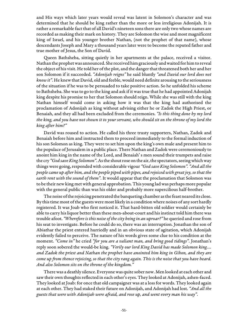and His ways which later years would reveal was latent in Solomon's character and was determined that he should be king rather than the more or less irreligious Adonijah. It is rather a remarkable fact that of all David's nineteen sons there are only two whose names are recorded as making their mark on history. They are Solomon the wise and most magnificent king of Israel, and his younger brother Nathan, (not the prophet of that name), whose descendants Joseph and Mary a thousand years later were to become the reputed father and true mother of Jesus, the Son of David.

Queen Bathsheba, sitting quietly in her apartments at the palace, received a visitor. Nathan the prophet was announced. She received him graciously and waited for him to reveal the object of his visit. He told her of the plot, and the danger that threatened both her and her son Solomon if it succeeded. "Adonijah reigns" he said bluntly "and David our lord does not know it". He knew that David, old and feeble, would need definite arousing to the seriousness of the situation if he was to be persuaded to take positive action. So he unfolded his scheme to Bathsheba. She was to go to the king and ask if it was true that he had appointed Adonijah king despite his promise to her that Solomon should reign. While she was still with the king Nathan himself would come in asking how it was that the king had authorised the proclamation of Adonijah as king without advising either he or Zadok the High Priest, or Benaiah, and they all had been excluded from the ceremonies. "Is this thing done by my lord the king, and you have not shown it to your servant, who should sit on the throne of my lord the king after him?"

David was roused to action. He called his three trusty supporters, Nathan, Zadok and Benaiah before him and instructed them to proceed immediately to the formal induction of his son Solomon as king. They were to set him upon the king's own mule and present him to the populace of Jerusalem in a public place. There Nathan and Zadok were ceremoniously to anoint him king in the name of the Lord, and Benaiah' s men sound their trumpets and raise the cry "God save King Solomon". As the shout rose on the air, the spectators, seeing which way things were going, responded with considerable vigour "God save King Solomon". "And all the people came up after him, and the people piped with pipes, and rejoiced with great joy, so that the earth rent with the sound of them". It would appear that the proclamation that Solomon was to be their new king met with general approbation. This young lad was perhaps more popular with the general public than was his older and probably more supercilious half-brother.

The noise of the rejoicing penetrated the banqueting chamber as the feast neared its close. By this time most of the guests were most likely in a condition where noises of any sort hardly registered. It was Joab who first noticed it. That hard-bitten old soldier would certainly be able to carry his liquor better than these men-about-court and his instinct told him there was trouble afoot. "Wherefore is this noise of the city being in an uproar?" he queried and rose from his seat to investigate. Before he could do so, there was an interruption. Jonathan the son of Abiathar the priest entered hurriedly and in an obvious state of agitation, which Adonijah evidently failed to perceive. The nature of his words gives some clue to his condition at the moment. "Come in" he cried "for you are a valiant man, and bring good tidings". Jonathan's reply soon sobered the would-be king. "Verily our lord King David has made Solomon king.... and Zadok the priest and Nathan the prophet have anointed him king in Gihon, and they are come up from thence rejoicing, so that the city rang again. This is the noise that you have heard. And also Solomon sits on the throne of the kingdom."

There was a deathly silence. Everyone was quite sober now. Men looked at each other and saw their own thoughts reflected in each other's eyes. They looked at Adonijah, ashen-faced. They looked at Joab: for once that old campaigner was at a loss for words. They looked again at each other. They had staked their future on Adonijah, and Adonijah had lost. "And all the guests that were with Adonijah were afraid, and rose up, and went every man his way".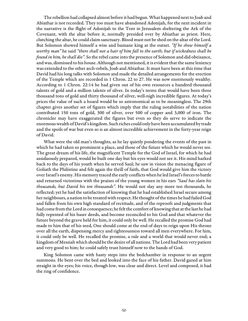The rebellion had collapsed almost before it had begun. What happened next to Joab and Abiathar is not recorded. They too must have abandoned Adonijah, for the next incident in the narrative is the flight of Adonijah to the Tent in Jerusalem sheltering the Ark of the Covenant, with the altar before it, normally presided over by Abiathar as priest. Here, clutching the altar, he could claim sanctuary. Blood must not be shed on the altar of the Lord. But Solomon showed himself a wise and humane king at the outset. "If he show himself a worthy man" he said "there shall not a hair of him fall to the earth; but if wickedness shall be found in him, he shall die". So the rebel came into the presence of Solomon and did obeisance, and was, dismissed to his house. Although not mentioned, it is evident that the same leniency was extended to the other arch-rebels, Joab and Abiathar. It must have been at this time that David had his long talks with Solomon and made the detailed arrangements for the erection of the Temple which are recorded in 1 Chron. 22 to 27. He was now enormously wealthy. According to 1 Chron. 22:14 he had given out of his own resources a hundred thousand talents of gold and a million talents of silver. In today's terms that would have been three thousand tons of gold and thirty thousand of silver, well-nigh incredible figures. At today's prices the value of such a hoard would be so astronomical as to be meaningless. The 29th chapter gives another set of figures which imply that the ruling notabilities of the nation contributed 150 tons of gold, 300 of silver, over 500 of copper and 3,000 of iron. The chronicler may have exaggerated the figures but even so they do serve to indicate the enormous wealth of David's kingdom. Such riches could only have been accumulated by trade and the spoils of war but even so is an almost incredible achievement in the forty-year reign of David.

What were the old man's thoughts, as he lay quietly pondering the events of the past in which he had taken so prominent a place, and those of the future which he would never see. The great dream of his life, the magnificent Temple for the God of Israel, for which he had assiduously prepared, would be built one day but his eyes would not see it. His mind harked back to the days of his youth when he served Saul; he saw in vision the menacing figure of Goliath the Philistine and felt again the thrill of faith, that God would give him the victory over Israel's enemy. His memory traced the early conflicts when he led Israel's forces to battle and returned victorious with the praises of the young women in his ears "Saul has slain his thousands, but David his ten thousands". He would not slay any more ten thousands, he reflected; yet he had the satisfaction of knowing that he had established Israel secure among her neighbours, a nation to be treated with respect. He thought of the times he had failed God and fallen from his own high standard of rectitude, and of the reproofs and judgments that had come from the Lord in consequence; he felt the comfort of knowing that at the last he had fully repented of his baser deeds, and become reconciled to his God and that whatever the future beyond the grave held for him, it could only be well. He recalled the promise God had made to him that of his seed, One should come at the end of days to reign upon His throne over all the earth, dispensing mercy and righteousness toward all men everywhere. For him, it could only be well. He recalled the promise, a rule and a world that would never end; a kingdom of Messiah which should be the desire of all nations. The Lord had been very patient and very good to him; he could safely trust himself now to the hands of God.

King Solomon came with hasty steps into the bedchamber in response to an urgent summons. He bent over the bed and looked into the face of his father. David gazed at him straight in the eyes; his voice, though low, was clear and direct. Level and composed, it had the ring of confidence.